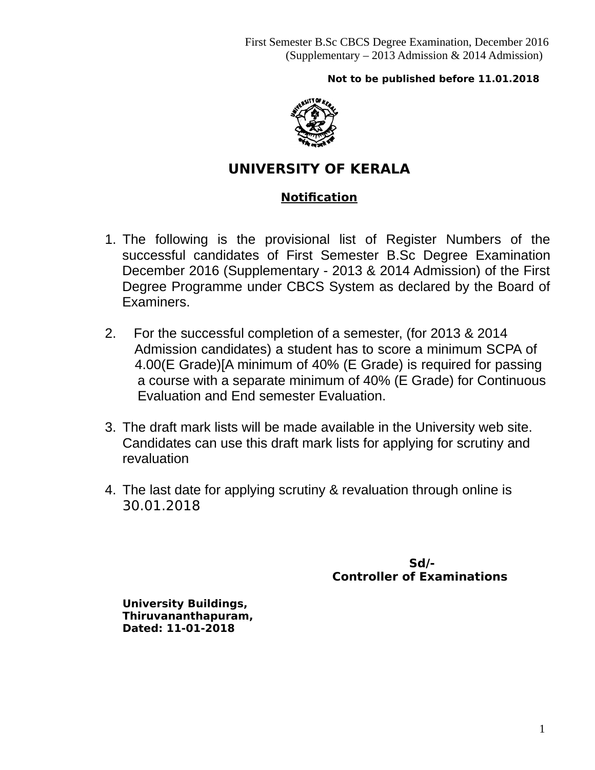## **Not to be published before 11.01.2018**



# **UNIVERSITY OF KERALA**

# **Notification**

- 1. The following is the provisional list of Register Numbers of the successful candidates of First Semester B.Sc Degree Examination December 2016 (Supplementary - 2013 & 2014 Admission) of the First Degree Programme under CBCS System as declared by the Board of Examiners.
- 2. For the successful completion of a semester, (for 2013 & 2014 Admission candidates) a student has to score a minimum SCPA of 4.00(E Grade)[A minimum of 40% (E Grade) is required for passing a course with a separate minimum of 40% (E Grade) for Continuous Evaluation and End semester Evaluation.
- 3. The draft mark lists will be made available in the University web site. Candidates can use this draft mark lists for applying for scrutiny and revaluation
- 4. The last date for applying scrutiny & revaluation through online is 30.01.2018

 **Sd/- Controller of Examinations** 

**University Buildings, Thiruvananthapuram, Dated: 11-01-2018**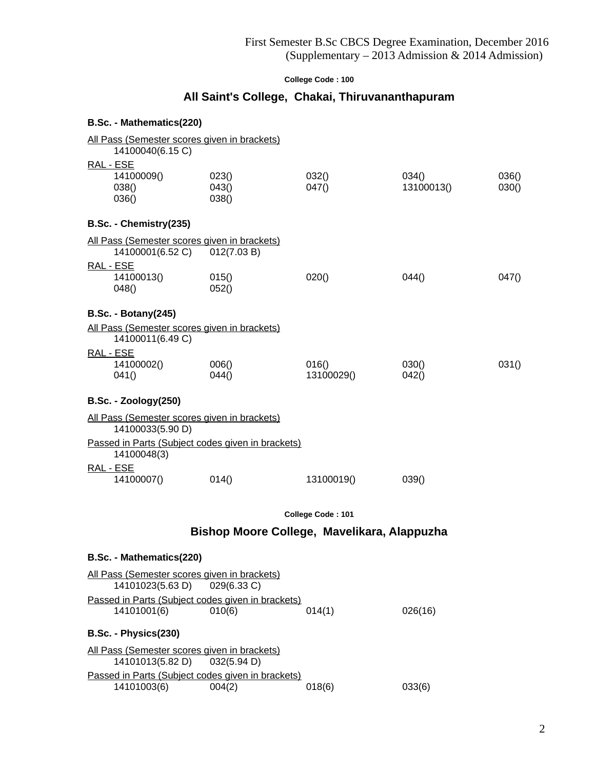# **All Saint's College, Chakai, Thiruvananthapuram**

| B.Sc. - Mathematics(220)                                         |                              |                                             |                     |                |
|------------------------------------------------------------------|------------------------------|---------------------------------------------|---------------------|----------------|
| All Pass (Semester scores given in brackets)<br>14100040(6.15 C) |                              |                                             |                     |                |
| RAL - ESE<br>14100009()<br>038()<br>036()                        | 023()<br>043()<br>038()      | 032()<br>047()                              | 034()<br>13100013() | 036()<br>030() |
| B.Sc. - Chemistry(235)                                           |                              |                                             |                     |                |
| All Pass (Semester scores given in brackets)<br>RAL - ESE        | 14100001(6.52 C) 012(7.03 B) |                                             |                     |                |
| 14100013()<br>048()                                              | 015()<br>052()               | 020()                                       | 044()               | 047()          |
| <b>B.Sc. - Botany(245)</b>                                       |                              |                                             |                     |                |
| All Pass (Semester scores given in brackets)<br>14100011(6.49 C) |                              |                                             |                     |                |
| <u>RAL - ESE</u><br>14100002()<br>041()                          | 006()<br>044()               | 016()<br>13100029()                         | 030()<br>042()      | 031()          |
| <b>B.Sc. - Zoology(250)</b>                                      |                              |                                             |                     |                |
| All Pass (Semester scores given in brackets)<br>14100033(5.90 D) |                              |                                             |                     |                |
| Passed in Parts (Subject codes given in brackets)<br>14100048(3) |                              |                                             |                     |                |
| RAL - ESE<br>14100007()                                          | 014()                        | 13100019()                                  | 039()               |                |
|                                                                  |                              | College Code: 101                           |                     |                |
|                                                                  |                              | Bishop Moore College, Mavelikara, Alappuzha |                     |                |
| <b>B.Sc. - Mathematics(220)</b>                                  |                              |                                             |                     |                |
| All Pass (Semester scores given in brackets)                     |                              |                                             |                     |                |

| $\frac{1}{100}$ and $\frac{1}{100}$ and $\frac{1}{100}$ and $\frac{1}{100}$ and $\frac{1}{100}$ and $\frac{1}{100}$<br>14101023(5.63 D) 029(6.33 C) |        |        |         |
|-----------------------------------------------------------------------------------------------------------------------------------------------------|--------|--------|---------|
| Passed in Parts (Subject codes given in brackets)<br>14101001(6)                                                                                    | 010(6) | 014(1) | 026(16) |
| B.Sc. - Physics(230)                                                                                                                                |        |        |         |
| All Pass (Semester scores given in brackets)<br>14101013(5.82 D) 032(5.94 D)                                                                        |        |        |         |
| Passed in Parts (Subject codes given in brackets)<br>14101003(6)                                                                                    | 004(2) | 018(6) | 033(6)  |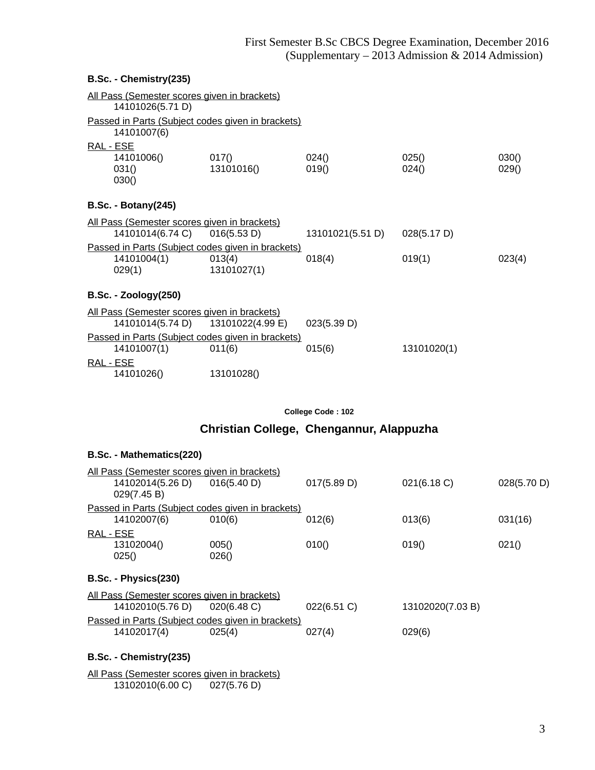#### **B.Sc. - Chemistry(235)**

|           | All Pass (Semester scores given in brackets)<br>14101026(5.71 D)                         |                                                                            |                  |                |                |
|-----------|------------------------------------------------------------------------------------------|----------------------------------------------------------------------------|------------------|----------------|----------------|
|           | 14101007(6)                                                                              | Passed in Parts (Subject codes given in brackets)                          |                  |                |                |
| RAL - ESE | 14101006()<br>031()<br>030()                                                             | 017()<br>13101016()                                                        | 024()<br>019()   | 025()<br>024() | 030()<br>029() |
|           | <b>B.Sc. - Botany(245)</b>                                                               |                                                                            |                  |                |                |
|           | All Pass (Semester scores given in brackets)<br>14101014(6.74 C)                         | 016(5.53 D)                                                                | 13101021(5.51 D) | 028(5.17 D)    |                |
|           | 14101004(1)<br>029(1)                                                                    | Passed in Parts (Subject codes given in brackets)<br>013(4)<br>13101027(1) | 018(4)           | 019(1)         | 023(4)         |
|           | $B.Sc. - Zoology(250)$                                                                   |                                                                            |                  |                |                |
|           | <u>All Pass (Semester scores given in brackets)</u><br>14101014(5.74 D) 13101022(4.99 E) |                                                                            | 023(5.39 D)      |                |                |
|           | 14101007(1)                                                                              | Passed in Parts (Subject codes given in brackets)<br>011(6)                | 015(6)           | 13101020(1)    |                |
| RAL - ESE | 14101026()                                                                               | 13101028()                                                                 |                  |                |                |

**College Code : 102**

**Christian College, Chengannur, Alappuzha**

## **B.Sc. - Mathematics(220)**

| <u>All Pass (Semester scores given in brackets)</u> |                                                     |                                                          |             |                  |             |
|-----------------------------------------------------|-----------------------------------------------------|----------------------------------------------------------|-------------|------------------|-------------|
|                                                     | 14102014(5.26 D)                                    | 016(5.40 D)                                              | 017(5.89 D) | 021(6.18 C)      | 028(5.70 D) |
|                                                     | 029(7.45 B)                                         |                                                          |             |                  |             |
|                                                     |                                                     | <u>Passed in Parts (Subject codes given in brackets)</u> |             |                  |             |
|                                                     | 14102007(6)                                         | 010(6)                                                   | 012(6)      | 013(6)           | 031(16)     |
| RAL - ESE                                           |                                                     |                                                          |             |                  |             |
|                                                     | 13102004()                                          | 005()                                                    | 010()       | 019()            | 021()       |
|                                                     | 025()                                               | 026()                                                    |             |                  |             |
|                                                     |                                                     |                                                          |             |                  |             |
|                                                     | B.Sc. - Physics(230)                                |                                                          |             |                  |             |
|                                                     | <u>All Pass (Semester scores given in brackets)</u> |                                                          |             |                  |             |
|                                                     | 14102010(5.76 D)                                    | $020(6.48)$ C)                                           | 022(6.51 C) | 13102020(7.03 B) |             |
|                                                     | Passed in Parts (Subject codes given in brackets)   |                                                          |             |                  |             |
|                                                     | 14102017(4)                                         | 025(4)                                                   | 027(4)      | 029(6)           |             |
|                                                     |                                                     |                                                          |             |                  |             |

#### **B.Sc. - Chemistry(235)**

All Pass (Semester scores given in brackets)<br>13102010(6.00 C) 027(5.76 D)  $13102010(6.00 \text{ C})$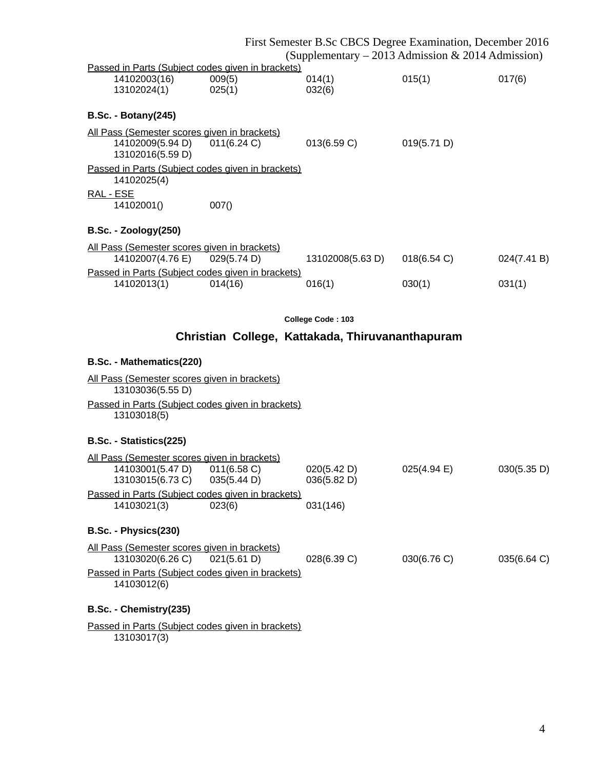|                                                                  |                                                  |                   | First Semester B.Sc CBCS Degree Examination, December 2016<br>(Supplementary – 2013 Admission & 2014 Admission) |             |
|------------------------------------------------------------------|--------------------------------------------------|-------------------|-----------------------------------------------------------------------------------------------------------------|-------------|
| Passed in Parts (Subject codes given in brackets)                |                                                  |                   |                                                                                                                 |             |
| 14102003(16)                                                     | 009(5)                                           | 014(1)            | 015(1)                                                                                                          | 017(6)      |
| 13102024(1)                                                      | 025(1)                                           | 032(6)            |                                                                                                                 |             |
| <b>B.Sc. - Botany(245)</b>                                       |                                                  |                   |                                                                                                                 |             |
| All Pass (Semester scores given in brackets)                     |                                                  |                   |                                                                                                                 |             |
| 14102009(5.94 D)<br>13102016(5.59 D)                             | 011(6.24 C)                                      | 013(6.59 C)       | 019(5.71 D)                                                                                                     |             |
| Passed in Parts (Subject codes given in brackets)<br>14102025(4) |                                                  |                   |                                                                                                                 |             |
| RAL - ESE                                                        |                                                  |                   |                                                                                                                 |             |
| 14102001()                                                       | 007()                                            |                   |                                                                                                                 |             |
| <b>B.Sc. - Zoology(250)</b>                                      |                                                  |                   |                                                                                                                 |             |
| All Pass (Semester scores given in brackets)                     |                                                  |                   |                                                                                                                 |             |
| 14102007(4.76 E)                                                 | 029(5.74 D)                                      | 13102008(5.63 D)  | 018(6.54 C)                                                                                                     | 024(7.41 B) |
| Passed in Parts (Subject codes given in brackets)<br>14102013(1) | 014(16)                                          | 016(1)            | 030(1)                                                                                                          | 031(1)      |
|                                                                  |                                                  |                   |                                                                                                                 |             |
|                                                                  |                                                  |                   |                                                                                                                 |             |
|                                                                  |                                                  | College Code: 103 |                                                                                                                 |             |
|                                                                  | Christian College, Kattakada, Thiruvananthapuram |                   |                                                                                                                 |             |
| B.Sc. - Mathematics(220)                                         |                                                  |                   |                                                                                                                 |             |
| All Pass (Semester scores given in brackets)<br>13103036(5.55 D) |                                                  |                   |                                                                                                                 |             |
| Passed in Parts (Subject codes given in brackets)                |                                                  |                   |                                                                                                                 |             |
| 13103018(5)                                                      |                                                  |                   |                                                                                                                 |             |
|                                                                  |                                                  |                   |                                                                                                                 |             |
| B.Sc. - Statistics(225)                                          |                                                  |                   |                                                                                                                 |             |
| All Pass (Semester scores given in brackets)                     |                                                  |                   |                                                                                                                 |             |
| 14103001(5.47 D) 011(6.58 C)                                     |                                                  | 020(5.42 D)       | $025(4.94 \text{ E})$                                                                                           | 030(5.35 D) |
| 13103015(6.73 C) 035(5.44 D)                                     |                                                  | 036(5.82 D)       |                                                                                                                 |             |
| Passed in Parts (Subject codes given in brackets)<br>14103021(3) | 023(6)                                           | 031(146)          |                                                                                                                 |             |
|                                                                  |                                                  |                   |                                                                                                                 |             |
| B.Sc. - Physics(230)                                             |                                                  |                   |                                                                                                                 |             |
| All Pass (Semester scores given in brackets)<br>13103020(6.26 C) | 021(5.61 D)                                      | 028(6.39 C)       | 030(6.76 C)                                                                                                     | 035(6.64 C) |
| Passed in Parts (Subject codes given in brackets)<br>14103012(6) |                                                  |                   |                                                                                                                 |             |
| B.Sc. - Chemistry(235)                                           |                                                  |                   |                                                                                                                 |             |
|                                                                  |                                                  |                   |                                                                                                                 |             |

13103017(3)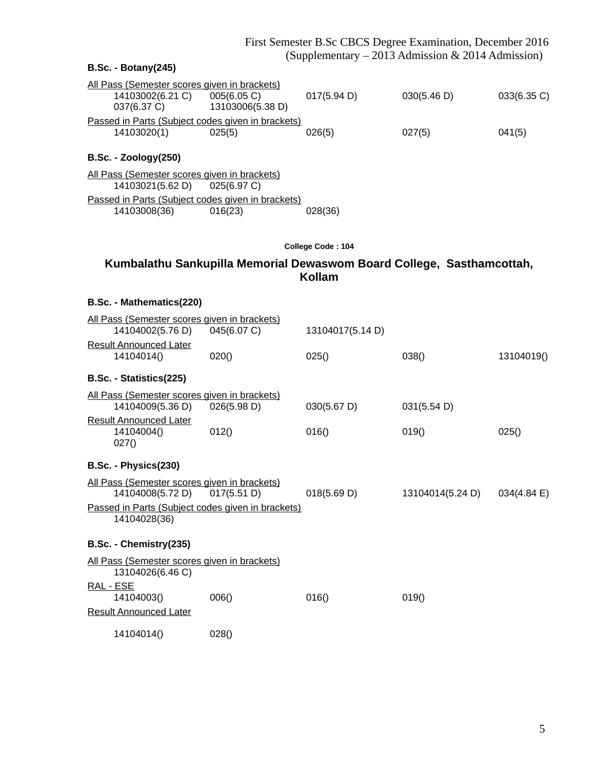# **B.Sc. - Botany(245)** All Pass (Semester scores given in brackets)<br>14103002(6.21 C) 005(6.05 C) 14103002(6.21 C) 005(6.05 C) 017(5.94 D) 030(5.46 D) 033(6.35 C) 037(6.37 C) 13103006(5.38 D) Passed in Parts (Subject codes given in brackets) 14103020(1) 025(5) 026(5) 027(5) 041(5) **B.Sc. - Zoology(250)** All Pass (Semester scores given in brackets) 14103021(5.62 D) 025(6.97 C) Passed in Parts (Subject codes given in brackets) 14103008(36) 016(23) 028(36) **College Code : 104 Kumbalathu Sankupilla Memorial Dewaswom Board College, Sasthamcottah, Kollam**

#### **B.Sc. - Mathematics(220)**

|           | All Pass (Semester scores given in brackets) |                                                   |                  |                  |             |
|-----------|----------------------------------------------|---------------------------------------------------|------------------|------------------|-------------|
|           | 14104002(5.76 D)                             | 045(6.07 C)                                       | 13104017(5.14 D) |                  |             |
|           | <b>Result Announced Later</b>                |                                                   |                  |                  |             |
|           | 14104014()                                   | 020()                                             | 025()            | 038()            | 13104019()  |
|           | B.Sc. - Statistics(225)                      |                                                   |                  |                  |             |
|           | All Pass (Semester scores given in brackets) |                                                   |                  |                  |             |
|           | 14104009(5.36 D)                             | 026(5.98 D)                                       | 030(5.67 D)      | 031(5.54 D)      |             |
|           | <b>Result Announced Later</b>                |                                                   |                  |                  |             |
|           | 14104004()                                   | 012()                                             | 016()            | 019()            | 025()       |
|           | 027()                                        |                                                   |                  |                  |             |
|           | B.Sc. - Physics(230)                         |                                                   |                  |                  |             |
|           | All Pass (Semester scores given in brackets) |                                                   |                  |                  |             |
|           | 14104008(5.72 D)                             | 017(5.51 D)                                       | 018(5.69 D)      | 13104014(5.24 D) | 034(4.84 E) |
|           |                                              | Passed in Parts (Subject codes given in brackets) |                  |                  |             |
|           | 14104028(36)                                 |                                                   |                  |                  |             |
|           |                                              |                                                   |                  |                  |             |
|           | B.Sc. - Chemistry(235)                       |                                                   |                  |                  |             |
|           | All Pass (Semester scores given in brackets) |                                                   |                  |                  |             |
|           | 13104026(6.46 C)                             |                                                   |                  |                  |             |
| RAL - ESE |                                              |                                                   |                  |                  |             |
|           | 14104003()                                   | 006()                                             | 016()            | 019()            |             |
|           | <b>Result Announced Later</b>                |                                                   |                  |                  |             |
|           | 14104014()                                   | 028()                                             |                  |                  |             |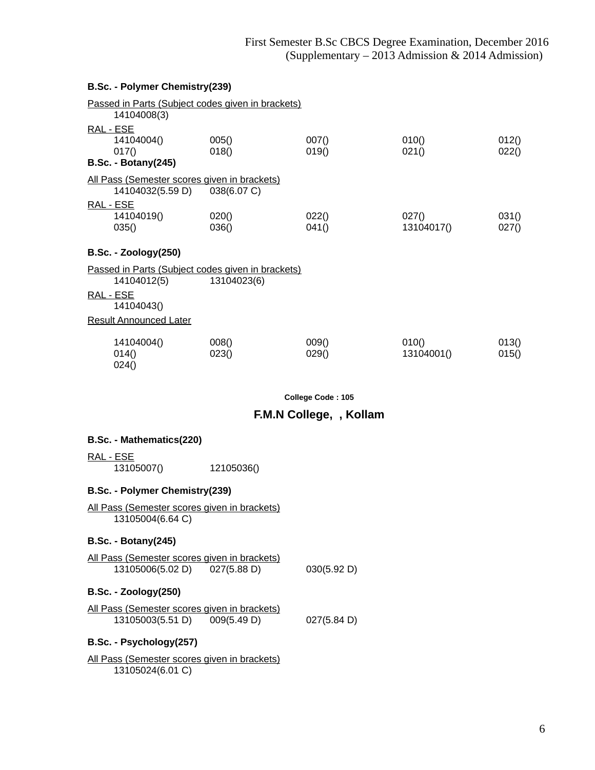#### **B.Sc. - Polymer Chemistry(239)**

| 14104008(3)                                                      | Passed in Parts (Subject codes given in brackets)                |                |                     |                |
|------------------------------------------------------------------|------------------------------------------------------------------|----------------|---------------------|----------------|
| RAL - ESE<br>14104004()<br>017()<br><b>B.Sc. - Botany(245)</b>   | 005()<br>018()                                                   | 007()<br>019() | 010()<br>021()      | 012()<br>022() |
| All Pass (Semester scores given in brackets)<br>14104032(5.59 D) | 038(6.07 C)                                                      |                |                     |                |
| RAL - ESE<br>14104019()<br>035()                                 | 020()<br>036()                                                   | 022()<br>041() | 027()<br>13104017() | 031()<br>027() |
| <b>B.Sc. - Zoology(250)</b>                                      |                                                                  |                |                     |                |
| 14104012(5)                                                      | Passed in Parts (Subject codes given in brackets)<br>13104023(6) |                |                     |                |
| RAL - ESE<br>14104043()                                          |                                                                  |                |                     |                |
| <b>Result Announced Later</b>                                    |                                                                  |                |                     |                |
| 14104004()<br>014()<br>024()                                     | 008()<br>023()                                                   | 009()<br>029() | 010()<br>13104001() | 013()<br>015() |

**College Code : 105**

## **F.M.N College, , Kollam**

#### **B.Sc. - Mathematics(220)**

RAL - ESE

13105007() 12105036()

#### **B.Sc. - Polymer Chemistry(239)**

All Pass (Semester scores given in brackets) 13105004(6.64 C)

#### **B.Sc. - Botany(245)**

All Pass (Semester scores given in brackets) 13105006(5.02 D) 027(5.88 D) 030(5.92 D)

#### **B.Sc. - Zoology(250)**

All Pass (Semester scores given in brackets) 13105003(5.51 D) 009(5.49 D) 027(5.84 D)

## **B.Sc. - Psychology(257)**

All Pass (Semester scores given in brackets) 13105024(6.01 C)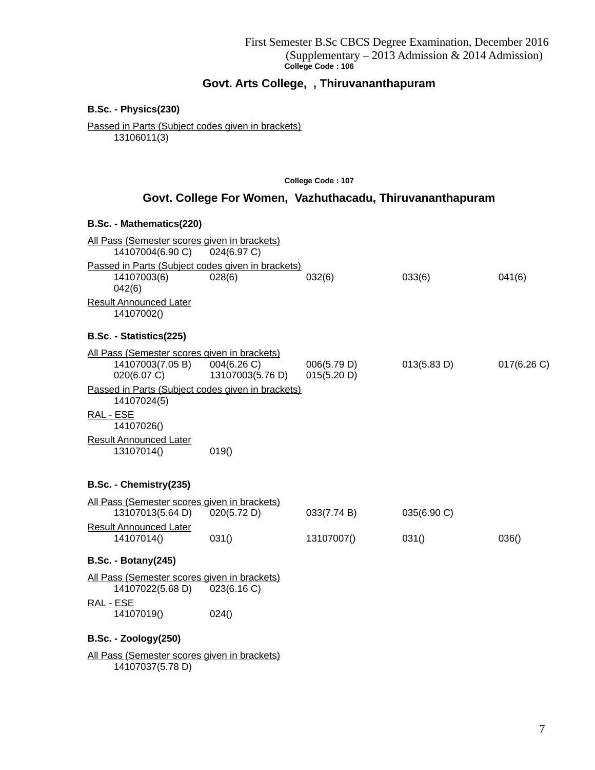# **Govt. Arts College, , Thiruvananthapuram**

**B.Sc. - Physics(230)**

Passed in Parts (Subject codes given in brackets) 13106011(3)

**College Code : 107**

# **Govt. College For Women, Vazhuthacadu, Thiruvananthapuram**

#### **B.Sc. - Mathematics(220)**

| All Pass (Semester scores given in brackets)<br>14107004(6.90 C) | 024(6.97 C)      |             |             |           |  |
|------------------------------------------------------------------|------------------|-------------|-------------|-----------|--|
| Passed in Parts (Subject codes given in brackets)                |                  |             |             |           |  |
| 14107003(6)<br>042(6)                                            | 028(6)           | 032(6)      | 033(6)      | 041(6)    |  |
| <b>Result Announced Later</b>                                    |                  |             |             |           |  |
| 14107002()                                                       |                  |             |             |           |  |
| B.Sc. - Statistics(225)                                          |                  |             |             |           |  |
| All Pass (Semester scores given in brackets)                     |                  |             |             |           |  |
| 14107003(7.05 B)                                                 | 004(6.26 C)      | 006(5.79 D) | 013(5.83 D) | 017(6.26) |  |
| 020(6.07 C)                                                      | 13107003(5.76 D) | 015(5.20 D) |             |           |  |
| Passed in Parts (Subject codes given in brackets)<br>14107024(5) |                  |             |             |           |  |
| RAL - ESE                                                        |                  |             |             |           |  |
| 14107026()                                                       |                  |             |             |           |  |
| <b>Result Announced Later</b>                                    |                  |             |             |           |  |
| 13107014()                                                       | 019()            |             |             |           |  |
| B.Sc. - Chemistry(235)                                           |                  |             |             |           |  |
|                                                                  |                  |             |             |           |  |
| All Pass (Semester scores given in brackets)<br>13107013(5.64 D) | 020(5.72 D)      | 033(7.74 B) | 035(6.90 C) |           |  |
| <b>Result Announced Later</b>                                    |                  |             |             |           |  |
| 14107014()                                                       | 031()            | 13107007()  | 031()       | 036()     |  |
|                                                                  |                  |             |             |           |  |
| <b>B.Sc. - Botany(245)</b>                                       |                  |             |             |           |  |
| All Pass (Semester scores given in brackets)                     |                  |             |             |           |  |
| 14107022(5.68 D)                                                 | 023(6.16 C)      |             |             |           |  |
| RAL - ESE                                                        |                  |             |             |           |  |
| 14107019()                                                       | 024()            |             |             |           |  |
| <b>B.Sc. - Zoology(250)</b>                                      |                  |             |             |           |  |
| All Pass (Semester scores given in brackets)                     |                  |             |             |           |  |
| 14107037(5.78 D)                                                 |                  |             |             |           |  |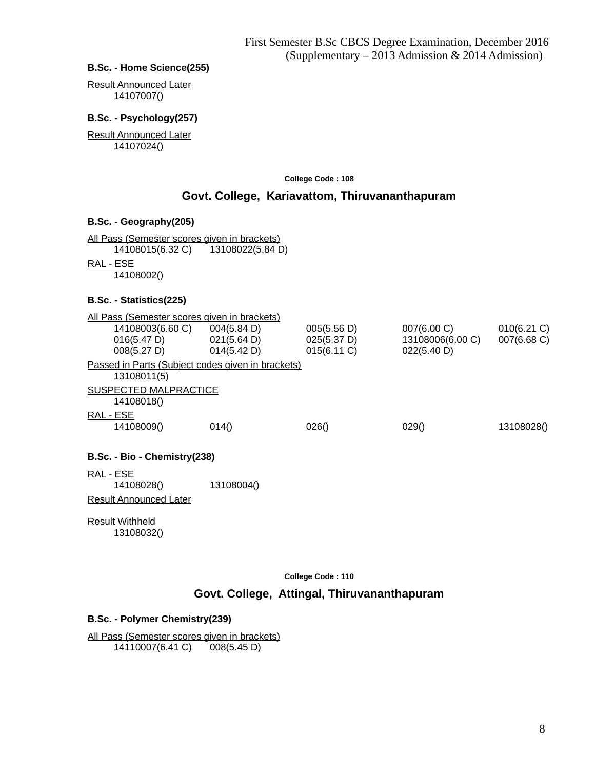#### **B.Sc. - Home Science(255)**

Result Announced Later 14107007()

#### **B.Sc. - Psychology(257)**

Result Announced Later 14107024()

**College Code : 108**

# **Govt. College, Kariavattom, Thiruvananthapuram**

#### **B.Sc. - Geography(205)**

All Pass (Semester scores given in brackets) 14108015(6.32 C) 13108022(5.84 D) RAL - ESE

14108002()

#### **B.Sc. - Statistics(225)**

| All Pass (Semester scores given in brackets)                                                                               |                                                   |                                           |                                                            |                               |
|----------------------------------------------------------------------------------------------------------------------------|---------------------------------------------------|-------------------------------------------|------------------------------------------------------------|-------------------------------|
| 14108003(6.60 C) 004(5.84 D)<br>$016(5.47 \text{ D})$ $021(5.64 \text{ D})$<br>$008(5.27 \text{ D})$ $014(5.42 \text{ D})$ |                                                   | 005(5.56 D)<br>025(5.37 D)<br>015(6.11 C) | $007(6.00 \, \text{C})$<br>13108006(6.00 C)<br>022(5.40 D) | $010(6.21)$ C)<br>007(6.68 C) |
| 13108011(5)                                                                                                                | Passed in Parts (Subject codes given in brackets) |                                           |                                                            |                               |
| SUSPECTED MALPRACTICE                                                                                                      |                                                   |                                           |                                                            |                               |
| 14108018()                                                                                                                 |                                                   |                                           |                                                            |                               |
| RAL - ESE                                                                                                                  |                                                   |                                           |                                                            |                               |
| 14108009()                                                                                                                 | 014()                                             | 026()                                     | 029()                                                      | 13108028()                    |
| B.Sc. - Bio - Chemistry (238)                                                                                              |                                                   |                                           |                                                            |                               |
| <u>RAL - ESE</u><br>14108028()                                                                                             | 13108004()                                        |                                           |                                                            |                               |
| Result Announced Later                                                                                                     |                                                   |                                           |                                                            |                               |
| <b>Result Withheld</b><br>13108032()                                                                                       |                                                   |                                           |                                                            |                               |

**College Code : 110**

## **Govt. College, Attingal, Thiruvananthapuram**

#### **B.Sc. - Polymer Chemistry(239)**

All Pass (Semester scores given in brackets) 14110007(6.41 C) 008(5.45 D)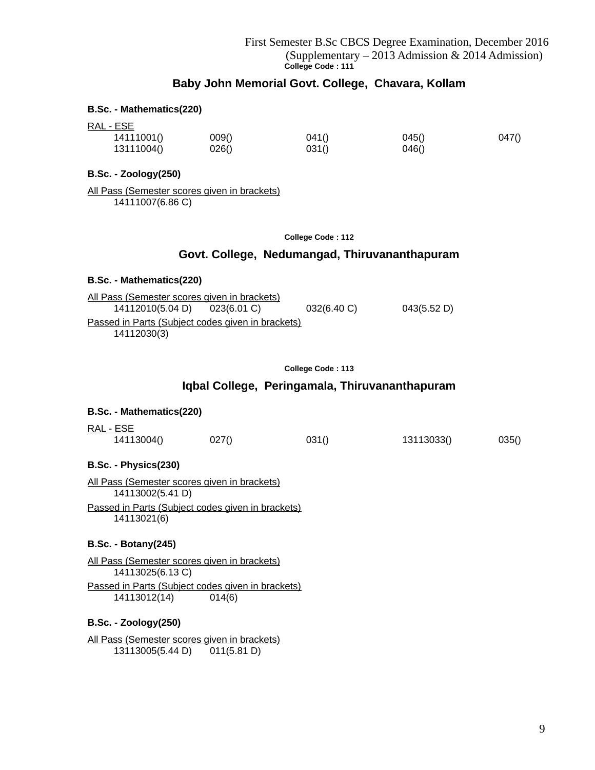# **Baby John Memorial Govt. College, Chavara, Kollam**

#### **B.Sc. - Mathematics(220)**

RAL - ESE

| <u>____</u> |       |       |       |       |
|-------------|-------|-------|-------|-------|
| 14111001()  | 009() | 041() | 045() | 047() |
| 13111004()  | 026() | 031() | 046() |       |

#### **B.Sc. - Zoology(250)**

All Pass (Semester scores given in brackets) 14111007(6.86 C)

**College Code : 112**

#### **Govt. College, Nedumangad, Thiruvananthapuram**

#### **B.Sc. - Mathematics(220)**

| All Pass (Semester scores given in brackets)      |  |           |             |  |
|---------------------------------------------------|--|-----------|-------------|--|
| 14112010(5.04 D) 023(6.01 C)                      |  | 032(6.40) | 043(5.52 D) |  |
| Passed in Parts (Subject codes given in brackets) |  |           |             |  |
| 14112030(3)                                       |  |           |             |  |

| College Code: 113 |  |  |  |
|-------------------|--|--|--|
|-------------------|--|--|--|

#### **Iqbal College, Peringamala, Thiruvananthapuram**

| B.Sc. - Mathematics(220)   |                                                     |       |            |       |
|----------------------------|-----------------------------------------------------|-------|------------|-------|
| RAL - ESE<br>14113004()    | 027()                                               | 031() | 13113033() | 035() |
| B.Sc. - Physics(230)       |                                                     |       |            |       |
| 14113002(5.41 D)           | <u>All Pass (Semester scores given in brackets)</u> |       |            |       |
| 14113021(6)                | Passed in Parts (Subject codes given in brackets)   |       |            |       |
| <b>B.Sc. - Botany(245)</b> |                                                     |       |            |       |
|                            | All Pass (Semester scores given in brackets)        |       |            |       |

14113025(6.13 C) Passed in Parts (Subject codes given in brackets) 14113012(14) 014(6)

#### **B.Sc. - Zoology(250)**

All Pass (Semester scores given in brackets) 13113005(5.44 D) 011(5.81 D)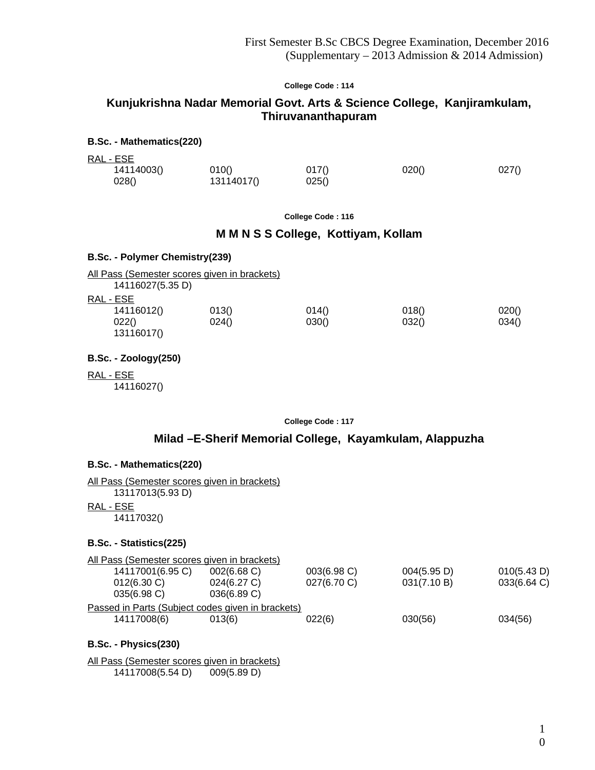# **Kunjukrishna Nadar Memorial Govt. Arts & Science College, Kanjiramkulam, Thiruvananthapuram**

#### **B.Sc. - Mathematics(220)**

RAL - ESE

| ----       |            |       |       |       |
|------------|------------|-------|-------|-------|
| 14114003() | 010()      | 017() | 020() | 027() |
| 028()      | 13114017() | 025() |       |       |

**College Code : 116**

#### **M M N S S College, Kottiyam, Kollam**

#### **B.Sc. - Polymer Chemistry(239)**

| All Pass (Semester scores given in brackets) |       |       |       |       |
|----------------------------------------------|-------|-------|-------|-------|
| 14116027(5.35 D)                             |       |       |       |       |
| RAL - ESE                                    |       |       |       |       |
| 14116012()                                   | 013() | 014() | 018() | 020() |
| 022()<br>13116017()                          | 024() | 030() | 032() | 034() |

**B.Sc. - Zoology(250)**

RAL - ESE 14116027()

**College Code : 117**

# **Milad –E-Sherif Memorial College, Kayamkulam, Alappuzha**

#### **B.Sc. - Mathematics(220)**

All Pass (Semester scores given in brackets) 13117013(5.93 D) RAL - ESE

14117032()

## **B.Sc. - Statistics(225)**

| All Pass (Semester scores given in brackets)      |                |                |             |             |
|---------------------------------------------------|----------------|----------------|-------------|-------------|
| 14117001(6.95 C)                                  | 002(6.68)      | $003(6.98)$ C) | 004(5.95 D) | 010(5.43 D) |
| $012(6.30)$ C)                                    | 024(6.27 C)    | 027(6.70 C)    | 031(7.10 B) | 033(6.64 C) |
| $035(6.98)$ C)                                    | $036(6.89)$ C) |                |             |             |
| Passed in Parts (Subject codes given in brackets) |                |                |             |             |
| 14117008(6)                                       | 013(6)         | 022(6)         | 030(56)     | 034(56)     |
|                                                   |                |                |             |             |

#### **B.Sc. - Physics(230)**

All Pass (Semester scores given in brackets) 14117008(5.54 D) 009(5.89 D)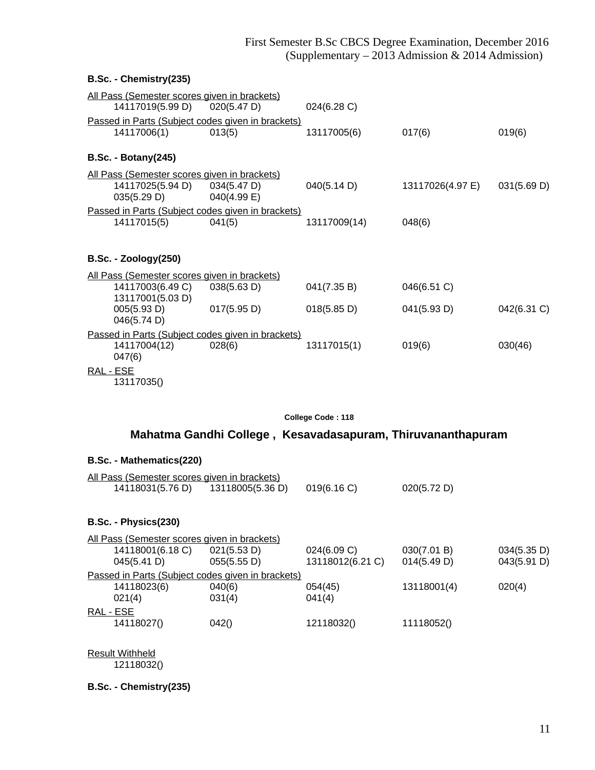| 013(5)                                                                                                                                                                                                                                                             | 024(6.28 C)<br>13117005(6)                                                                                                                                                                                                                                                                                                                         | 017(6)                     | 019(6)      |
|--------------------------------------------------------------------------------------------------------------------------------------------------------------------------------------------------------------------------------------------------------------------|----------------------------------------------------------------------------------------------------------------------------------------------------------------------------------------------------------------------------------------------------------------------------------------------------------------------------------------------------|----------------------------|-------------|
|                                                                                                                                                                                                                                                                    |                                                                                                                                                                                                                                                                                                                                                    |                            |             |
| 034(5.47 D)<br>040(4.99 E)                                                                                                                                                                                                                                         | 040(5.14 D)                                                                                                                                                                                                                                                                                                                                        | 13117026(4.97 E)           | 031(5.69 D) |
| 041(5)                                                                                                                                                                                                                                                             | 13117009(14)                                                                                                                                                                                                                                                                                                                                       | 048(6)                     |             |
|                                                                                                                                                                                                                                                                    |                                                                                                                                                                                                                                                                                                                                                    |                            |             |
| 038(5.63 D)<br>017(5.95 D)                                                                                                                                                                                                                                         | 041(7.35 B)<br>018(5.85 D)                                                                                                                                                                                                                                                                                                                         | 046(6.51 C)<br>041(5.93 D) | 042(6.31 C) |
| 028(6)                                                                                                                                                                                                                                                             | 13117015(1)                                                                                                                                                                                                                                                                                                                                        | 019(6)                     | 030(46)     |
| B.Sc. - Chemistry(235)<br>14117006(1)<br><b>B.Sc. - Botany(245)</b><br>14117025(5.94 D)<br>035(5.29 D)<br>14117015(5)<br><b>B.Sc. - Zoology(250)</b><br>14117003(6.49 C)<br>13117001(5.03 D)<br>005(5.93 D)<br>046(5.74 D)<br>14117004(12)<br>047(6)<br>13117035() | <u>All Pass (Semester scores given in brackets)</u><br>14117019(5.99 D) 020(5.47 D)<br>Passed in Parts (Subject codes given in brackets)<br>All Pass (Semester scores given in brackets)<br>Passed in Parts (Subject codes given in brackets)<br>All Pass (Semester scores given in brackets)<br>Passed in Parts (Subject codes given in brackets) |                            |             |

# **Mahatma Gandhi College , Kesavadasapuram, Thiruvananthapuram**

## **B.Sc. - Mathematics(220)**

| All Pass (Semester scores given in brackets) |                  |           |             |
|----------------------------------------------|------------------|-----------|-------------|
| 14118031(5.76 D)                             | 13118005(5.36 D) | 019(6.16) | 020(5.72 D) |

# **B.Sc. - Physics(230)**

| 034(5.35 D) |
|-------------|
| 043(5.91 D) |
|             |
| 020(4)      |
|             |
|             |
|             |
|             |

Result Withheld

12118032()

**B.Sc. - Chemistry(235)**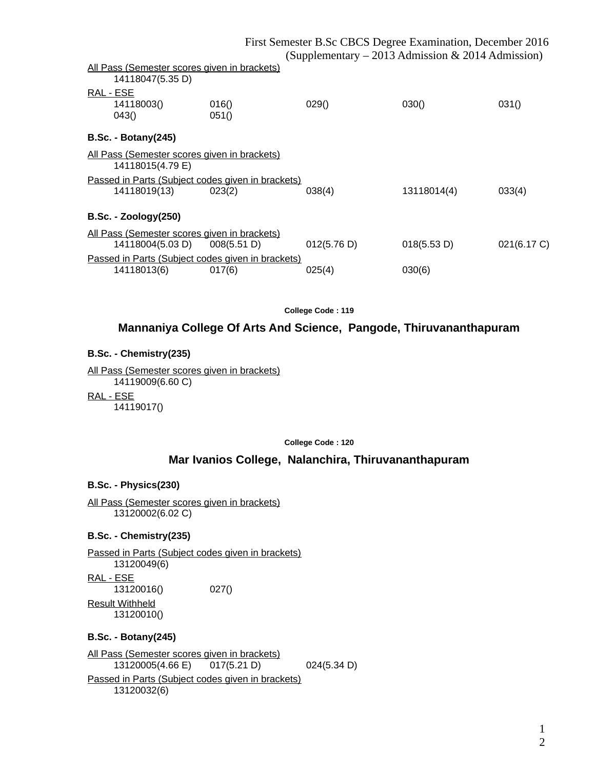|                                                                  |                                                             |             | $\chi$ oupprementary $-$ 2015 Admission $\alpha$ 2014 Admission $\eta$ |             |
|------------------------------------------------------------------|-------------------------------------------------------------|-------------|------------------------------------------------------------------------|-------------|
| All Pass (Semester scores given in brackets)<br>14118047(5.35 D) |                                                             |             |                                                                        |             |
| RAL - ESE<br>14118003()<br>043()                                 | 016()<br>051()                                              | 029()       | 030()                                                                  | 031()       |
| <b>B.Sc. - Botany (245)</b>                                      |                                                             |             |                                                                        |             |
| All Pass (Semester scores given in brackets)<br>14118015(4.79 E) |                                                             |             |                                                                        |             |
| 14118019(13)                                                     | Passed in Parts (Subject codes given in brackets)<br>023(2) | 038(4)      | 13118014(4)                                                            | 033(4)      |
| <b>B.Sc. - Zoology(250)</b>                                      |                                                             |             |                                                                        |             |
| All Pass (Semester scores given in brackets)<br>14118004(5.03 D) | 008(5.51 D)                                                 | 012(5.76 D) | 018(5.53 D)                                                            | 021(6.17 C) |
| 14118013(6)                                                      | Passed in Parts (Subject codes given in brackets)<br>017(6) | 025(4)      | 030(6)                                                                 |             |

## **Mannaniya College Of Arts And Science, Pangode, Thiruvananthapuram**

#### **B.Sc. - Chemistry(235)**

All Pass (Semester scores given in brackets) 14119009(6.60 C)

RAL - ESE

14119017()

**College Code : 120**

## **Mar Ivanios College, Nalanchira, Thiruvananthapuram**

#### **B.Sc. - Physics(230)**

All Pass (Semester scores given in brackets) 13120002(6.02 C)

#### **B.Sc. - Chemistry(235)**

Passed in Parts (Subject codes given in brackets) 13120049(6) RAL - ESE 13120016() 027() Result Withheld 13120010()

### **B.Sc. - Botany(245)**

All Pass (Semester scores given in brackets) 13120005(4.66 E) 017(5.21 D) 024(5.34 D) Passed in Parts (Subject codes given in brackets) 13120032(6)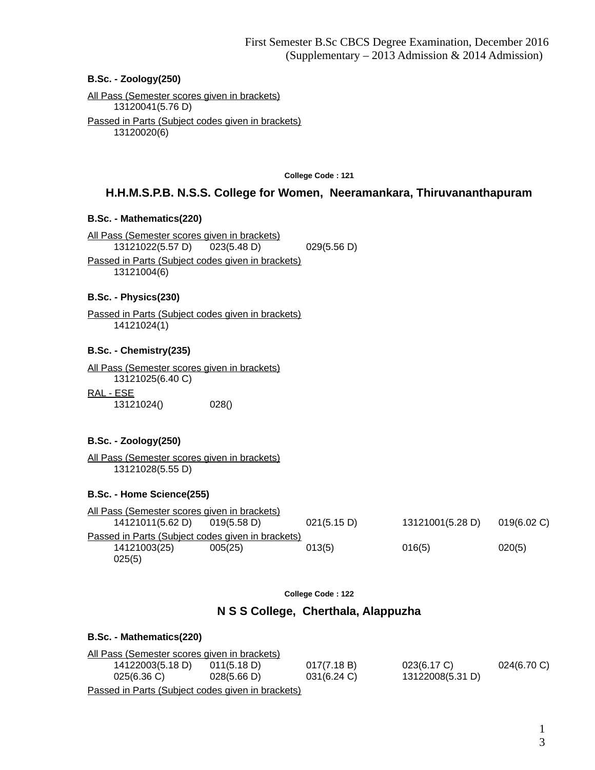#### **B.Sc. - Zoology(250)**

All Pass (Semester scores given in brackets) 13120041(5.76 D) Passed in Parts (Subject codes given in brackets) 13120020(6)

**College Code : 121**

# **H.H.M.S.P.B. N.S.S. College for Women, Neeramankara, Thiruvananthapuram**

#### **B.Sc. - Mathematics(220)**

All Pass (Semester scores given in brackets) 13121022(5.57 D) 023(5.48 D) 029(5.56 D) Passed in Parts (Subject codes given in brackets) 13121004(6)

#### **B.Sc. - Physics(230)**

Passed in Parts (Subject codes given in brackets) 14121024(1)

#### **B.Sc. - Chemistry(235)**

All Pass (Semester scores given in brackets) 13121025(6.40 C) RAL - ESE

13121024() 028()

#### **B.Sc. - Zoology(250)**

All Pass (Semester scores given in brackets) 13121028(5.55 D)

#### **B.Sc. - Home Science(255)**

| All Pass (Semester scores given in brackets)      |             |             |                  |                |
|---------------------------------------------------|-------------|-------------|------------------|----------------|
| 14121011(5.62 D)                                  | 019(5.58 D) | 021(5.15 D) | 13121001(5.28 D) | $019(6.02)$ C) |
| Passed in Parts (Subject codes given in brackets) |             |             |                  |                |
| 14121003(25)                                      | 005(25)     | 013(5)      | 016(5)           | 020(5)         |
| 025(5)                                            |             |             |                  |                |

**College Code : 122**

### **N S S College, Cherthala, Alappuzha**

# **B.Sc. - Mathematics(220)**

| All Pass (Semester scores given in brackets)      |             |             |                  |                |
|---------------------------------------------------|-------------|-------------|------------------|----------------|
| 14122003(5.18 D)                                  | 011(5.18 D) | 017(7.18 B) | $023(6.17)$ C)   | $024(6.70)$ C) |
| $025(6.36)$ C)                                    | 028(5.66 D) | 031(6.24 C) | 13122008(5.31 D) |                |
| Passed in Parts (Subject codes given in brackets) |             |             |                  |                |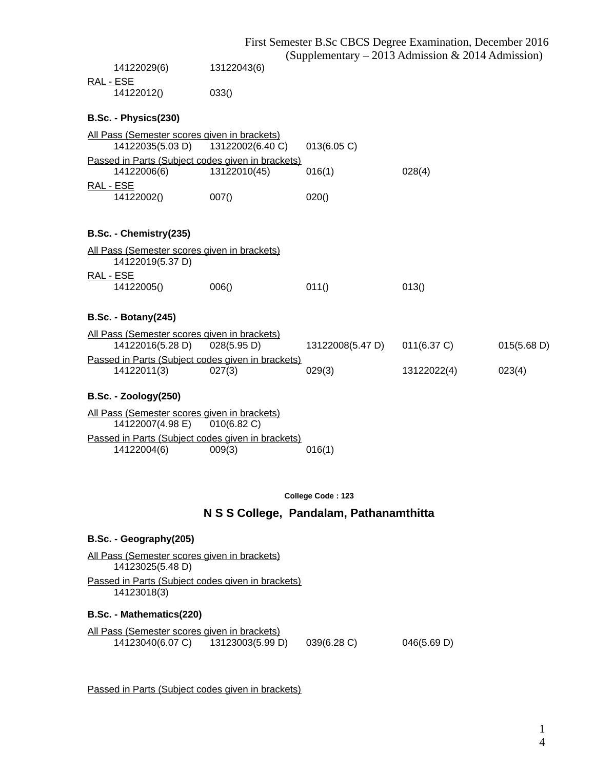|                                                   |                  |                  | First Semester B.Sc CBCS Degree Examination, December 2016 |             |
|---------------------------------------------------|------------------|------------------|------------------------------------------------------------|-------------|
|                                                   |                  |                  | (Supplementary – 2013 Admission & 2014 Admission)          |             |
| 14122029(6)                                       | 13122043(6)      |                  |                                                            |             |
| RAL - ESE                                         |                  |                  |                                                            |             |
| 14122012()                                        | 033()            |                  |                                                            |             |
| B.Sc. - Physics(230)                              |                  |                  |                                                            |             |
| All Pass (Semester scores given in brackets)      |                  |                  |                                                            |             |
| 14122035(5.03 D)                                  | 13122002(6.40 C) | 013(6.05 C)      |                                                            |             |
| Passed in Parts (Subject codes given in brackets) |                  |                  |                                                            |             |
| 14122006(6)                                       | 13122010(45)     | 016(1)           | 028(4)                                                     |             |
| RAL - ESE                                         |                  |                  |                                                            |             |
| 14122002()                                        | 007()            | 020()            |                                                            |             |
|                                                   |                  |                  |                                                            |             |
| B.Sc. - Chemistry(235)                            |                  |                  |                                                            |             |
| All Pass (Semester scores given in brackets)      |                  |                  |                                                            |             |
| 14122019(5.37 D)                                  |                  |                  |                                                            |             |
| RAL - ESE                                         |                  |                  |                                                            |             |
| 14122005()                                        | 006()            | 011()            | 013()                                                      |             |
|                                                   |                  |                  |                                                            |             |
| <b>B.Sc. - Botany(245)</b>                        |                  |                  |                                                            |             |
| All Pass (Semester scores given in brackets)      |                  |                  |                                                            |             |
| 14122016(5.28 D)                                  | 028(5.95 D)      | 13122008(5.47 D) | 011(6.37 C)                                                | 015(5.68 D) |
| Passed in Parts (Subject codes given in brackets) |                  |                  |                                                            |             |
| 14122011(3)                                       | 027(3)           | 029(3)           | 13122022(4)                                                | 023(4)      |
|                                                   |                  |                  |                                                            |             |
| <b>B.Sc. - Zoology(250)</b>                       |                  |                  |                                                            |             |
| All Pass (Semester scores given in brackets)      |                  |                  |                                                            |             |
| 14122007(4.98 E)                                  | $010(6.82)$ C)   |                  |                                                            |             |
| Passed in Parts (Subject codes given in brackets) |                  |                  |                                                            |             |

 $14122004(6)$  009(3) 016(1)

**College Code : 123**

## **N S S College, Pandalam, Pathanamthitta**

#### **B.Sc. - Geography(205)**

All Pass (Semester scores given in brackets) 14123025(5.48 D) Passed in Parts (Subject codes given in brackets) 14123018(3)

#### **B.Sc. - Mathematics(220)**

All Pass (Semester scores given in brackets)<br>14123040(6.07 C) 13123003(5.99 D  $13123003(5.99 D)$  039(6.28 C) 046(5.69 D)

Passed in Parts (Subject codes given in brackets)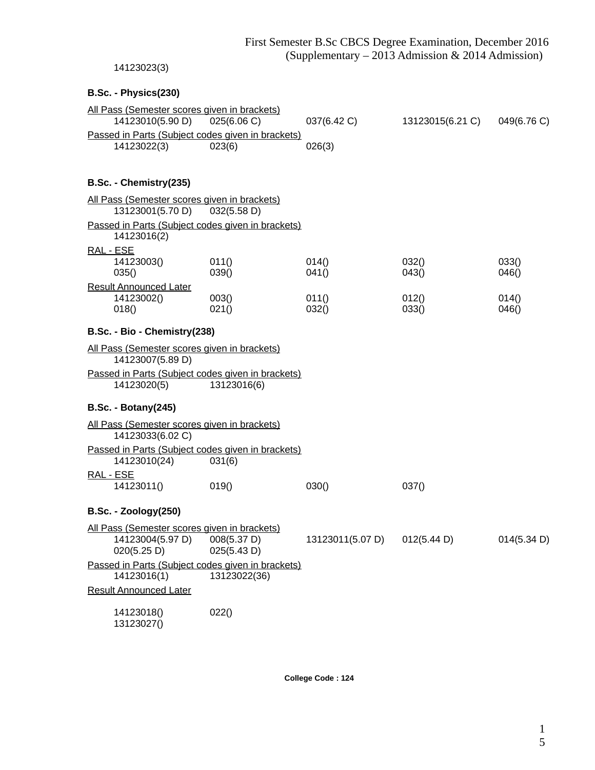### 14123023(3)

# **B.Sc. - Physics(230)**

| All Pass (Semester scores given in brackets)      |             |             |                  |             |
|---------------------------------------------------|-------------|-------------|------------------|-------------|
| 14123010(5.90 D)                                  | 025(6.06 C) | 037(6.42 C) | 13123015(6.21 C) | 049(6.76 C) |
| Passed in Parts (Subject codes given in brackets) |             |             |                  |             |
| 14123022(3)                                       | 023(6)      | 026(3)      |                  |             |
|                                                   |             |             |                  |             |
| B.Sc. - Chemistry(235)                            |             |             |                  |             |
| All Pass (Semester scores given in brackets)      |             |             |                  |             |
| 13123001(5.70 D)                                  | 032(5.58 D) |             |                  |             |

| Passed in Parts (Subject codes given in brackets) |             |       |       |       |
|---------------------------------------------------|-------------|-------|-------|-------|
| 14123016(2)                                       |             |       |       |       |
| RAL - ESE                                         |             |       |       |       |
| 14123003()                                        | 011()       | 014() | 032() | 033() |
| 035()                                             | 039()       | 041() | 043() | 046() |
| Result Announced Later                            |             |       |       |       |
| 14123002()                                        | 003()       | 011() | 012() | 014() |
| 018()                                             | 021()       | 032() | 033() | 046() |
| B.Sc. - Bio - Chemistry (238)                     |             |       |       |       |
| All Pass (Semester scores given in brackets)      |             |       |       |       |
| 14123007(5.89 D)                                  |             |       |       |       |
| Passed in Parts (Subject codes given in brackets) |             |       |       |       |
| 14123020(5)                                       | 13123016(6) |       |       |       |

# **B.Sc. - Botany(245)**

| All Pass (Semester scores given in brackets) |                                                   |       |      |
|----------------------------------------------|---------------------------------------------------|-------|------|
| 14123033(6.02 C)                             |                                                   |       |      |
|                                              | Passed in Parts (Subject codes given in brackets) |       |      |
| 14123010(24)                                 | 031(6)                                            |       |      |
| RAL - ESE                                    |                                                   |       |      |
| 14123011()                                   | 019()                                             | 030() | 0370 |

# **B.Sc. - Zoology(250)**

| All Pass (Semester scores given in brackets)      |              |                  |             |             |
|---------------------------------------------------|--------------|------------------|-------------|-------------|
| 14123004(5.97 D)                                  | 008(5.37 D)  | 13123011(5.07 D) | 012(5.44 D) | 014(5.34 D) |
| 020(5.25 D)                                       | 025(5.43 D)  |                  |             |             |
| Passed in Parts (Subject codes given in brackets) |              |                  |             |             |
| 14123016(1)                                       | 13123022(36) |                  |             |             |
| <b>Result Announced Later</b>                     |              |                  |             |             |
| 14123018()                                        | 022()        |                  |             |             |
| 131230270                                         |              |                  |             |             |

13123027()

**College Code : 124**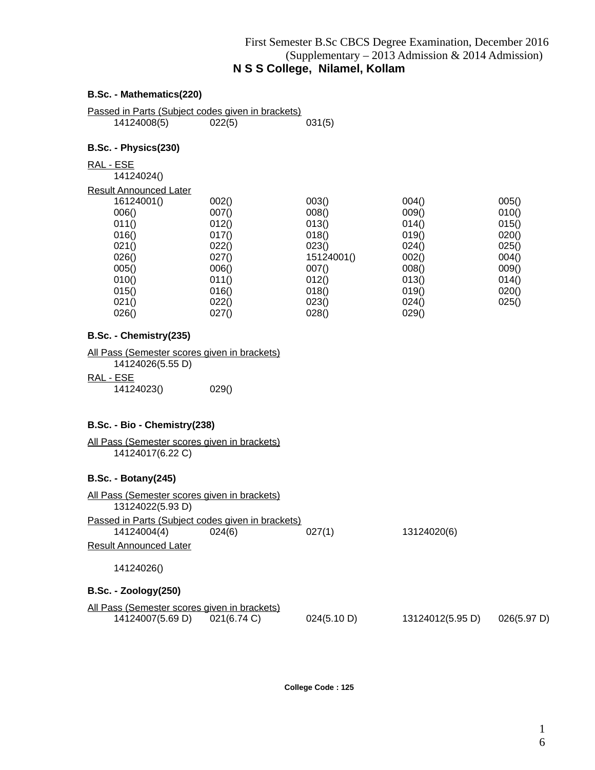# First Semester B.Sc CBCS Degree Examination, December 2016 (Supplementary – 2013 Admission & 2014 Admission) **N S S College, Nilamel, Kollam**

## **B.Sc. - Mathematics(220)**

Passed in Parts (Subject codes given in brackets) 14124008(5) 022(5) 031(5)

#### **B.Sc. - Physics(230)**

RAL - ESE

14124024()

| Result Announced Later |
|------------------------|
|------------------------|

| esuit Announceu Later |       |            |       |       |
|-----------------------|-------|------------|-------|-------|
| 16124001()            | 002() | 003()      | 004() | 005() |
| 006()                 | 007() | 008()      | 009() | 010() |
| 011()                 | 012() | 013()      | 014() | 015() |
| 016()                 | 017() | 018()      | 019() | 020() |
| 021()                 | 022() | 023()      | 024() | 025() |
| 026()                 | 027() | 15124001() | 002() | 004() |
| 005()                 | 006() | 007()      | 008() | 009() |
| 010()                 | 011() | 012()      | 013() | 014() |
| 015()                 | 016() | 018()      | 019() | 020() |
| 021()                 | 022() | 023()      | 024() | 025() |
| 026()                 | 027() | 028()      | 029() |       |
|                       |       |            |       |       |

#### **B.Sc. - Chemistry(235)**

| <u>All Pass (Semester scores given in brackets)</u> |
|-----------------------------------------------------|
| 14124026(5.55 D)                                    |
| RAL - ESE                                           |

| .          |       |
|------------|-------|
| 14124023() | 029() |

#### **B.Sc. - Bio - Chemistry(238)**

| All Pass (Semester scores given in brackets) |  |  |  |
|----------------------------------------------|--|--|--|
| 14124017(6.22 C)                             |  |  |  |

#### **B.Sc. - Botany(245)**

| All Pass (Semester scores given in brackets)<br>13124022(5.93 D) |             |             |                  |             |
|------------------------------------------------------------------|-------------|-------------|------------------|-------------|
| Passed in Parts (Subject codes given in brackets)<br>14124004(4) | 024(6)      | 027(1)      | 13124020(6)      |             |
| <b>Result Announced Later</b>                                    |             |             |                  |             |
| 14124026()                                                       |             |             |                  |             |
| <b>B.Sc. - Zoology(250)</b>                                      |             |             |                  |             |
| All Pass (Semester scores given in brackets)<br>14124007(5.69 D) | 021(6.74 C) | 024(5.10 D) | 13124012(5.95 D) | 026(5.97 D) |

**College Code : 125**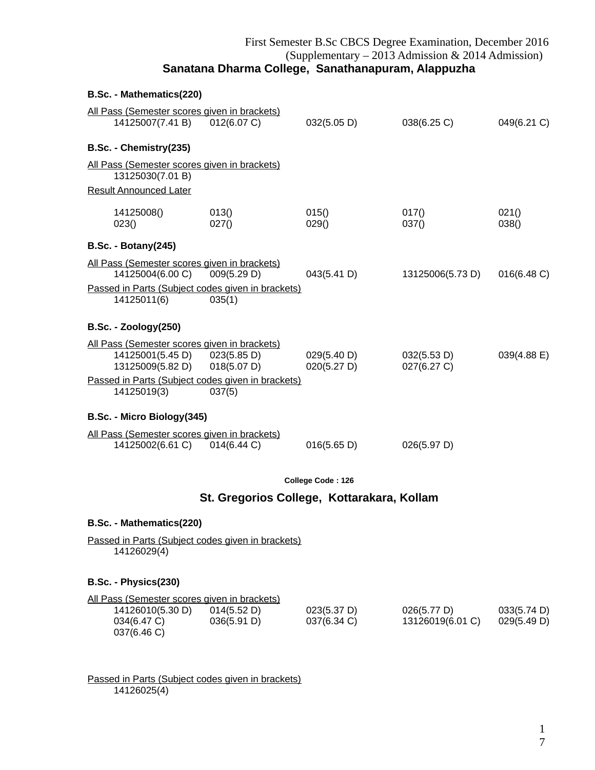# First Semester B.Sc CBCS Degree Examination, December 2016 (Supplementary – 2013 Admission & 2014 Admission) **Sanatana Dharma College, Sanathanapuram, Alappuzha**

| B.Sc. - Mathematics(220)                                                                                                             |                       |                            |                            |                |  |
|--------------------------------------------------------------------------------------------------------------------------------------|-----------------------|----------------------------|----------------------------|----------------|--|
| All Pass (Semester scores given in brackets)<br>14125007(7.41 B)                                                                     | 012(6.07 C)           | 032(5.05 D)                | 038(6.25)                  | 049(6.21 C)    |  |
| B.Sc. - Chemistry(235)                                                                                                               |                       |                            |                            |                |  |
| All Pass (Semester scores given in brackets)<br>13125030(7.01 B)                                                                     |                       |                            |                            |                |  |
| <b>Result Announced Later</b>                                                                                                        |                       |                            |                            |                |  |
| 14125008()<br>023()                                                                                                                  | 013()<br>027()        | 015()<br>029()             | 017()<br>037()             | 021()<br>038() |  |
| <b>B.Sc. - Botany(245)</b>                                                                                                           |                       |                            |                            |                |  |
| All Pass (Semester scores given in brackets)<br>14125004(6.00 C)<br>Passed in Parts (Subject codes given in brackets)<br>14125011(6) | 009(5.29 D)<br>035(1) | 043(5.41 D)                | 13125006(5.73 D)           | 016(6.48 C)    |  |
| <b>B.Sc. - Zoology(250)</b>                                                                                                          |                       |                            |                            |                |  |
| All Pass (Semester scores given in brackets)<br>14125001(5.45 D) 023(5.85 D)<br>13125009(5.82 D) 018(5.07 D)                         |                       | 029(5.40 D)<br>020(5.27 D) | 032(5.53 D)<br>027(6.27 C) | 039(4.88 E)    |  |
| Passed in Parts (Subject codes given in brackets)<br>14125019(3)                                                                     | 037(5)                |                            |                            |                |  |
| B.Sc. - Micro Biology(345)                                                                                                           |                       |                            |                            |                |  |
| All Pass (Semester scores given in brackets)<br>14125002(6.61 C) 014(6.44 C)                                                         |                       | 016(5.65 D)                | 026(5.97 D)                |                |  |
| College Code: 126                                                                                                                    |                       |                            |                            |                |  |

# **St. Gregorios College, Kottarakara, Kollam**

#### **B.Sc. - Mathematics(220)**

Passed in Parts (Subject codes given in brackets) 14126029(4)

## **B.Sc. - Physics(230)**

| All Pass (Semester scores given in brackets) |             |             |                  |             |
|----------------------------------------------|-------------|-------------|------------------|-------------|
| 14126010(5.30 D)                             | 014(5.52 D) | 023(5.37 D) | 026(5.77 D)      | 033(5.74 D) |
| 034(6.47 C)                                  | 036(5.91 D) | 037(6.34 C) | 13126019(6.01 C) | 029(5.49 D) |
| 037(6.46 C)                                  |             |             |                  |             |

Passed in Parts (Subject codes given in brackets) 14126025(4)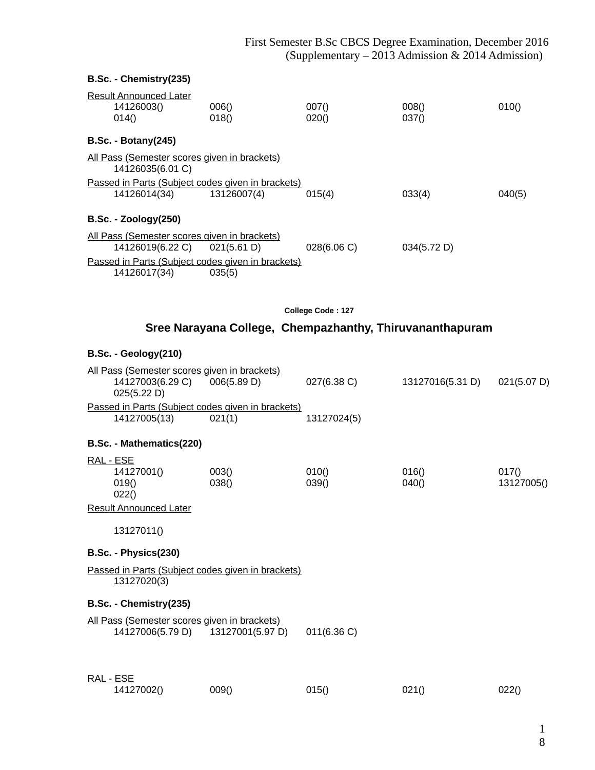| B.Sc. - Chemistry(235)                                            |                                                          |                   |                  |             |
|-------------------------------------------------------------------|----------------------------------------------------------|-------------------|------------------|-------------|
|                                                                   |                                                          |                   |                  |             |
| <b>Result Announced Later</b><br>14126003()                       | 006()                                                    | 007()             | 008()            | 010()       |
| 014()                                                             | 018()                                                    | 020()             | 037()            |             |
| <b>B.Sc. - Botany(245)</b>                                        |                                                          |                   |                  |             |
| All Pass (Semester scores given in brackets)<br>14126035(6.01 C)  |                                                          |                   |                  |             |
| Passed in Parts (Subject codes given in brackets)                 |                                                          |                   |                  |             |
| 14126014(34)                                                      | 13126007(4)                                              | 015(4)            | 033(4)           | 040(5)      |
| <b>B.Sc. - Zoology(250)</b>                                       |                                                          |                   |                  |             |
| All Pass (Semester scores given in brackets)                      |                                                          |                   |                  |             |
| 14126019(6.22 C) 021(5.61 D)                                      |                                                          | 028(6.06 C)       | 034(5.72 D)      |             |
| Passed in Parts (Subject codes given in brackets)<br>14126017(34) | 035(5)                                                   |                   |                  |             |
|                                                                   |                                                          | College Code: 127 |                  |             |
|                                                                   | Sree Narayana College, Chempazhanthy, Thiruvananthapuram |                   |                  |             |
|                                                                   |                                                          |                   |                  |             |
| B.Sc. - Geology(210)                                              |                                                          |                   |                  |             |
| All Pass (Semester scores given in brackets)                      |                                                          |                   |                  |             |
| 14127003(6.29 C)<br>025(5.22 D)                                   | 006(5.89 D)                                              | 027(6.38 C)       | 13127016(5.31 D) | 021(5.07 D) |
| Passed in Parts (Subject codes given in brackets)                 |                                                          |                   |                  |             |
| 14127005(13)                                                      | 021(1)                                                   | 13127024(5)       |                  |             |
| B.Sc. - Mathematics(220)                                          |                                                          |                   |                  |             |
| RAL - ESE                                                         |                                                          |                   |                  |             |
| 14127001()                                                        | 003()                                                    | 010()             | 016()            | 017()       |
| 019()<br>022()                                                    | 038()                                                    | 039()             | 040()            | 13127005()  |
| <b>Result Announced Later</b>                                     |                                                          |                   |                  |             |
| 13127011()                                                        |                                                          |                   |                  |             |
| B.Sc. - Physics(230)                                              |                                                          |                   |                  |             |
| Passed in Parts (Subject codes given in brackets)                 |                                                          |                   |                  |             |
| 13127020(3)                                                       |                                                          |                   |                  |             |
| B.Sc. - Chemistry(235)                                            |                                                          |                   |                  |             |
| All Pass (Semester scores given in brackets)                      |                                                          |                   |                  |             |
| 14127006(5.79 D)                                                  | 13127001(5.97 D)                                         | 011(6.36)         |                  |             |

| <u>RAL - ESE</u> |       |       |       |       |
|------------------|-------|-------|-------|-------|
| 14127002()       | 009() | 015() | 021() | 022() |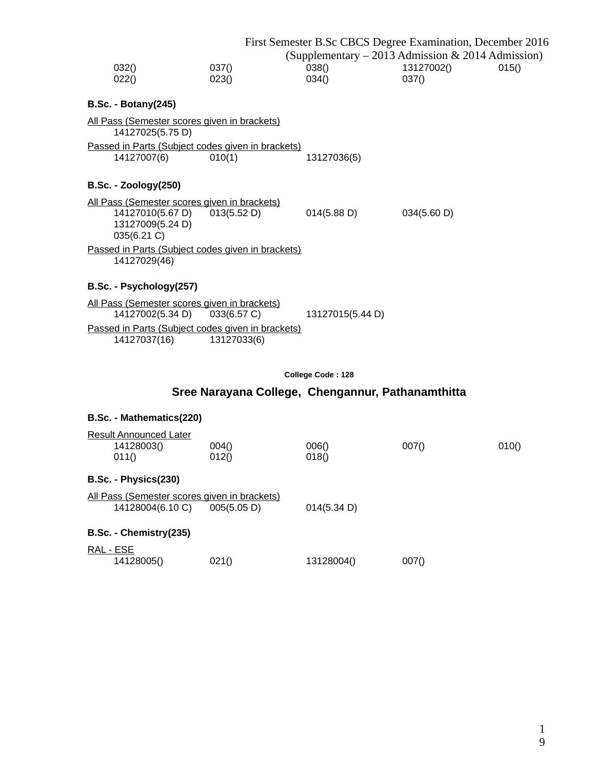|                                                                          |        | First Semester B.Sc CBCS Degree Examination, December 2016 |             |       |
|--------------------------------------------------------------------------|--------|------------------------------------------------------------|-------------|-------|
|                                                                          |        | (Supplementary – 2013 Admission & 2014 Admission)          |             |       |
| 032()                                                                    | 037()  | 038()                                                      | 13127002()  | 015() |
| 022()                                                                    | 023()  | 034()                                                      | 037()       |       |
| <b>B.Sc. - Botany(245)</b>                                               |        |                                                            |             |       |
| <u> All Pass (Semester scores given in brackets)</u><br>14127025(5.75 D) |        |                                                            |             |       |
| Passed in Parts (Subject codes given in brackets)                        |        |                                                            |             |       |
| 14127007(6)                                                              | 010(1) | 13127036(5)                                                |             |       |
|                                                                          |        |                                                            |             |       |
| <b>B.Sc. - Zoology(250)</b>                                              |        |                                                            |             |       |
| All Pass (Semester scores given in brackets)                             |        |                                                            |             |       |
| 14127010(5.67 D) 013(5.52 D)                                             |        | 014(5.88 D)                                                | 034(5.60 D) |       |
| 13127009(5.24 D)                                                         |        |                                                            |             |       |
| 035(6.21 C)                                                              |        |                                                            |             |       |
| Passed in Parts (Subject codes given in brackets)                        |        |                                                            |             |       |
| 14127029(46)                                                             |        |                                                            |             |       |
|                                                                          |        |                                                            |             |       |
| B.Sc. - Psychology(257)                                                  |        |                                                            |             |       |
| <u> All Pass (Semester scores given in brackets)</u>                     |        |                                                            |             |       |
| 14127002(5.34 D) 033(6.57 C)                                             |        | 13127015(5.44 D)                                           |             |       |

Passed in Parts (Subject codes given in brackets) 14127037(16) 13127033(6)

| College Code: 128 |  |  |  |  |  |
|-------------------|--|--|--|--|--|
|-------------------|--|--|--|--|--|

# **Sree Narayana College, Chengannur, Pathanamthitta**

# **B.Sc. - Mathematics(220)**

|           | <b>Result Announced Later</b>                |             |             |       |       |  |  |
|-----------|----------------------------------------------|-------------|-------------|-------|-------|--|--|
|           | 14128003()                                   | 004()       | 006()       | 007() | 010() |  |  |
|           | 011()                                        | 012()       | 018()       |       |       |  |  |
|           | B.Sc. - Physics(230)                         |             |             |       |       |  |  |
|           | All Pass (Semester scores given in brackets) |             |             |       |       |  |  |
|           | 14128004(6.10 C)                             | 005(5.05 D) | 014(5.34 D) |       |       |  |  |
|           | B.Sc. - Chemistry(235)                       |             |             |       |       |  |  |
| RAL - ESE |                                              |             |             |       |       |  |  |
|           | 14128005()                                   | 021()       | 13128004()  | 007() |       |  |  |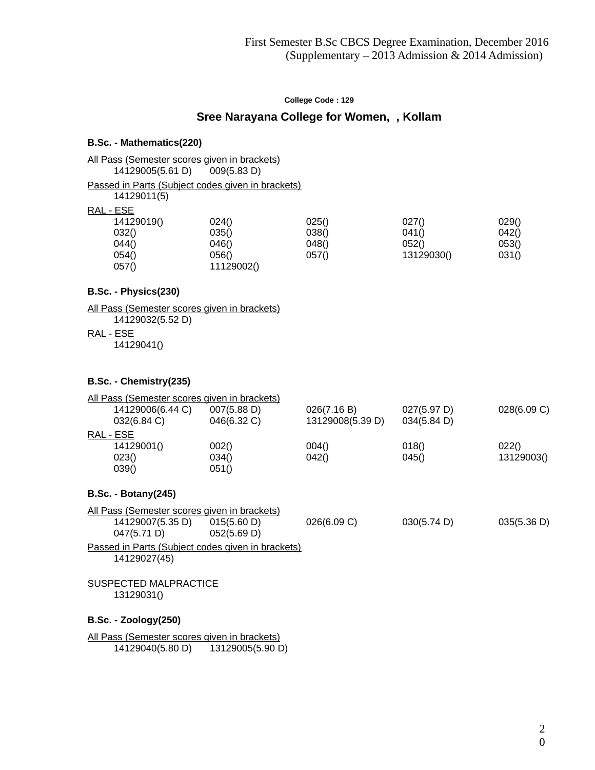# **Sree Narayana College for Women, , Kollam**

#### **B.Sc. - Mathematics(220)**

# All Pass (Semester scores given in brackets)<br>14129005(5.61 D) 009(5.83 D)

14129005(5.61 D)

Passed in Parts (Subject codes given in brackets)

14129011(5)

# RAL - ESE

| 024()      | 025() | 027()      | 029() |
|------------|-------|------------|-------|
| 035()      | 038() | 041()      | 042() |
| 046()      | 048() | 052()      | 053() |
| 056()      | 057() | 13129030() | 031() |
| 11129002() |       |            |       |
|            |       |            |       |

#### **B.Sc. - Physics(230)**

All Pass (Semester scores given in brackets) 14129032(5.52 D) RAL - ESE

14129041()

#### **B.Sc. - Chemistry(235)**

| All Pass (Semester scores given in brackets) |                            |                                 |                            |             |
|----------------------------------------------|----------------------------|---------------------------------|----------------------------|-------------|
| 14129006(6.44 C)<br>032(6.84 C)              | 007(5.88 D)<br>046(6.32 C) | 026(7.16 B)<br>13129008(5.39 D) | 027(5.97 D)<br>034(5.84 D) | 028(6.09 C) |
| RAL - ESE                                    |                            |                                 |                            |             |
| 14129001()                                   | 002()                      | 004()                           | 018()                      | 022()       |
| 023()                                        | 034()                      | 042()                           | 045()                      | 13129003()  |
| 039()                                        | 051()                      |                                 |                            |             |
| $B.Sc. - Botanv(245)$                        |                            |                                 |                            |             |

## **B.Sc. - Botany(245)**

| All Pass (Semester scores given in brackets)      |             |             |             |             |  |
|---------------------------------------------------|-------------|-------------|-------------|-------------|--|
| 14129007(5.35 D)                                  | 015(5.60 D) | 026(6.09 C) | 030(5.74 D) | 035(5.36 D) |  |
| 047(5.71 D)                                       | 052(5.69 D) |             |             |             |  |
| Passed in Parts (Subject codes given in brackets) |             |             |             |             |  |
| 14129027(45)                                      |             |             |             |             |  |

#### SUSPECTED MALPRACTICE 13129031()

#### **B.Sc. - Zoology(250)**

All Pass (Semester scores given in brackets) 14129040(5.80 D) 13129005(5.90 D)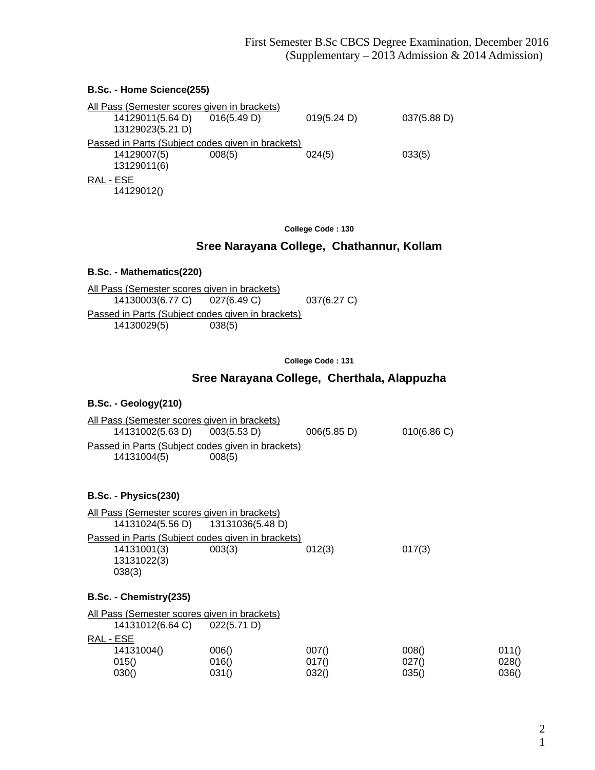#### **B.Sc. - Home Science(255)**

|           | All Pass (Semester scores given in brackets) |                                                   |             |             |
|-----------|----------------------------------------------|---------------------------------------------------|-------------|-------------|
|           | 14129011(5.64 D)                             | 016(5.49 D)                                       | 019(5.24 D) | 037(5.88 D) |
|           | 13129023(5.21 D)                             |                                                   |             |             |
|           |                                              | Passed in Parts (Subject codes given in brackets) |             |             |
|           | 14129007(5)                                  | 008(5)                                            | 024(5)      | 033(5)      |
|           | 13129011(6)                                  |                                                   |             |             |
| RAL - ESE |                                              |                                                   |             |             |
|           | 14129012()                                   |                                                   |             |             |

**College Code : 130**

# **Sree Narayana College, Chathannur, Kollam**

#### **B.Sc. - Mathematics(220)**

All Pass (Semester scores given in brackets)<br>14130003(6.77 C) 027(6.49 C) 14130003(6.77 C) 027(6.49 C) 037(6.27 C) Passed in Parts (Subject codes given in brackets) 14130029(5) 038(5)

**College Code : 131**

# **Sree Narayana College, Cherthala, Alappuzha**

#### **B.Sc. - Geology(210)**

| All Pass (Semester scores given in brackets)      |             |             |           |  |
|---------------------------------------------------|-------------|-------------|-----------|--|
| 14131002(5.63 D)                                  | 003(5.53 D) | 006(5.85 D) | 010(6.86) |  |
| Passed in Parts (Subject codes given in brackets) |             |             |           |  |
| 14131004(5)                                       | 008(5)      |             |           |  |

#### **B.Sc. - Physics(230)**

| All Pass (Semester scores given in brackets)      |        |        |        |  |  |
|---------------------------------------------------|--------|--------|--------|--|--|
| 14131024(5.56 D) 13131036(5.48 D)                 |        |        |        |  |  |
| Passed in Parts (Subject codes given in brackets) |        |        |        |  |  |
| 14131001(3)                                       | 003(3) | 012(3) | 017(3) |  |  |
| 13131022(3)                                       |        |        |        |  |  |
| 038(3)                                            |        |        |        |  |  |

#### **B.Sc. - Chemistry(235)**

| All Pass (Semester scores given in brackets) |             |       |       |       |
|----------------------------------------------|-------------|-------|-------|-------|
| 14131012(6.64 C)                             | 022(5.71 D) |       |       |       |
| RAL - ESE                                    |             |       |       |       |
| 14131004()                                   | 006()       | 007() | 008() | 011() |
| 015()                                        | 016()       | 0170  | 027() | 028() |
| 030()                                        | 031()       | 032() | 035() | 036() |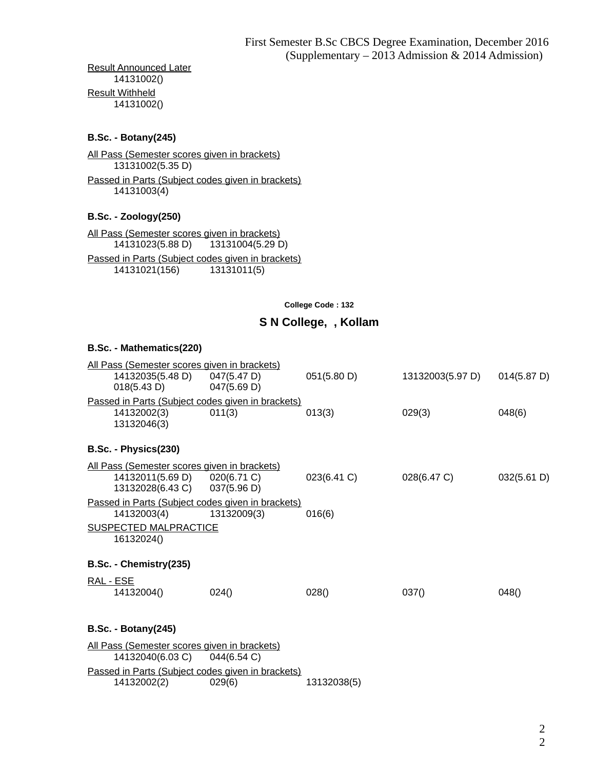Result Announced Later 14131002() Result Withheld 14131002()

#### **B.Sc. - Botany(245)**

All Pass (Semester scores given in brackets) 13131002(5.35 D) Passed in Parts (Subject codes given in brackets) 14131003(4)

## **B.Sc. - Zoology(250)**

All Pass (Semester scores given in brackets) 14131023(5.88 D) 13131004(5.29 D) Passed in Parts (Subject codes given in brackets) 14131021(156) 13131011(5)

**College Code : 132**

## **S N College, , Kollam**

| B.Sc. - Mathematics(220)                                                                    |                |             |                  |             |
|---------------------------------------------------------------------------------------------|----------------|-------------|------------------|-------------|
| All Pass (Semester scores given in brackets)<br>14132035(5.48 D) 047(5.47 D)<br>018(5.43 D) | $047(5.69)$ D) | 051(5.80 D) | 13132003(5.97 D) | 014(5.87 D) |
| Passed in Parts (Subject codes given in brackets)                                           |                |             |                  |             |
| 14132002(3)<br>13132046(3)                                                                  | 011(3)         | 013(3)      | 029(3)           | 048(6)      |
| B.Sc. - Physics(230)                                                                        |                |             |                  |             |
| All Pass (Semester scores given in brackets)                                                |                |             |                  |             |
| 14132011(5.69 D) 020(6.71 C)<br>13132028(6.43 C) 037(5.96 D)                                |                | 023(6.41 C) | 028(6.47 C)      | 032(5.61 D) |
| Passed in Parts (Subject codes given in brackets)                                           |                |             |                  |             |
| 14132003(4)                                                                                 | 13132009(3)    | 016(6)      |                  |             |
| <b>SUSPECTED MALPRACTICE</b><br>16132024()                                                  |                |             |                  |             |
| B.Sc. - Chemistry(235)                                                                      |                |             |                  |             |
| <u>RAL - ESE</u>                                                                            |                |             |                  |             |
| 14132004()                                                                                  | 024()          | 028()       | 037()            | 048()       |
| <b>B.Sc. - Botany (245)</b>                                                                 |                |             |                  |             |
| All Pass (Semester scores given in brackets)                                                |                |             |                  |             |
| 14132040(6.03 C) 044(6.54 C)                                                                |                |             |                  |             |
| Passed in Parts (Subject codes given in brackets)<br>14132002(2)                            | 029(6)         | 13132038(5) |                  |             |
|                                                                                             |                |             |                  |             |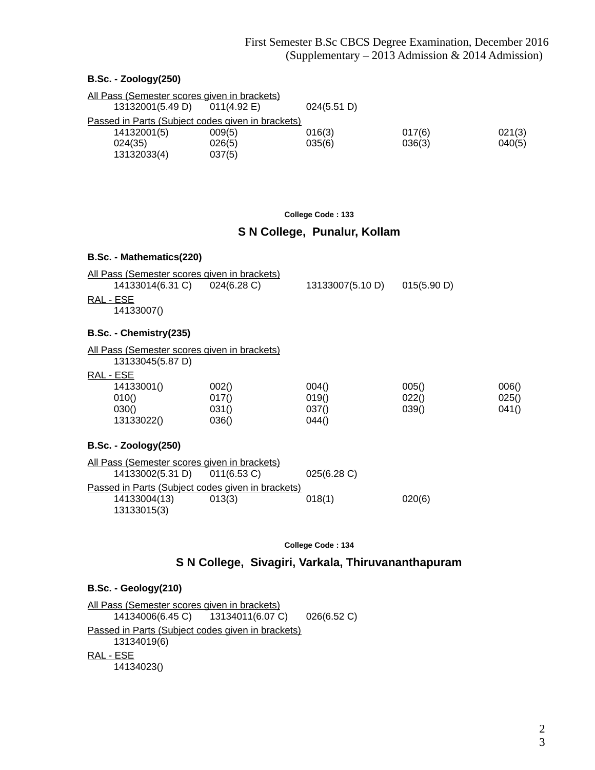#### **B.Sc. - Zoology(250)**

| All Pass (Semester scores given in brackets)      |                       |             |        |        |  |
|---------------------------------------------------|-----------------------|-------------|--------|--------|--|
| 13132001(5.49 D)                                  | $011(4.92 \text{ E})$ | 024(5.51 D) |        |        |  |
| Passed in Parts (Subject codes given in brackets) |                       |             |        |        |  |
| 14132001(5)                                       | 009(5)                | 016(3)      | 017(6) | 021(3) |  |
| 024(35)                                           | 026(5)                | 035(6)      | 036(3) | 040(5) |  |
| 13132033(4)                                       | 037(5)                |             |        |        |  |

#### **College Code : 133**

# **S N College, Punalur, Kollam**

| B.Sc. - Mathematics(220)                                         |        |                  |             |       |
|------------------------------------------------------------------|--------|------------------|-------------|-------|
| <u>All Pass (Semester scores given in brackets)</u>              |        |                  |             |       |
| 14133014(6.31 C) 024(6.28 C)                                     |        | 13133007(5.10 D) | 015(5.90 D) |       |
| RAL - ESE<br>14133007()                                          |        |                  |             |       |
| B.Sc. - Chemistry(235)                                           |        |                  |             |       |
| All Pass (Semester scores given in brackets)<br>13133045(5.87 D) |        |                  |             |       |
| RAL - ESE                                                        |        |                  |             |       |
| 14133001()                                                       | 002()  | 004()            | 005()       | 006() |
| 010()                                                            | 017()  | 019()            | 022()       | 025() |
| 030()                                                            | 031()  | 037()            | 039()       | 041() |
| 13133022()                                                       | 036()  | 044()            |             |       |
| <b>B.Sc. - Zoology(250)</b>                                      |        |                  |             |       |
| All Pass (Semester scores given in brackets)                     |        |                  |             |       |
| 14133002(5.31 D) 011(6.53 C)                                     |        | 025(6.28 C)      |             |       |
| Passed in Parts (Subject codes given in brackets)                |        |                  |             |       |
| 14133004(13)<br>13133015(3)                                      | 013(3) | 018(1)           | 020(6)      |       |

**College Code : 134**

# **S N College, Sivagiri, Varkala, Thiruvananthapuram**

#### **B.Sc. - Geology(210)**

All Pass (Semester scores given in brackets)<br>14134006(6.45 C) 13134011(6.07 C 13134011(6.07 C) 026(6.52 C) Passed in Parts (Subject codes given in brackets) 13134019(6) RAL - ESE 14134023()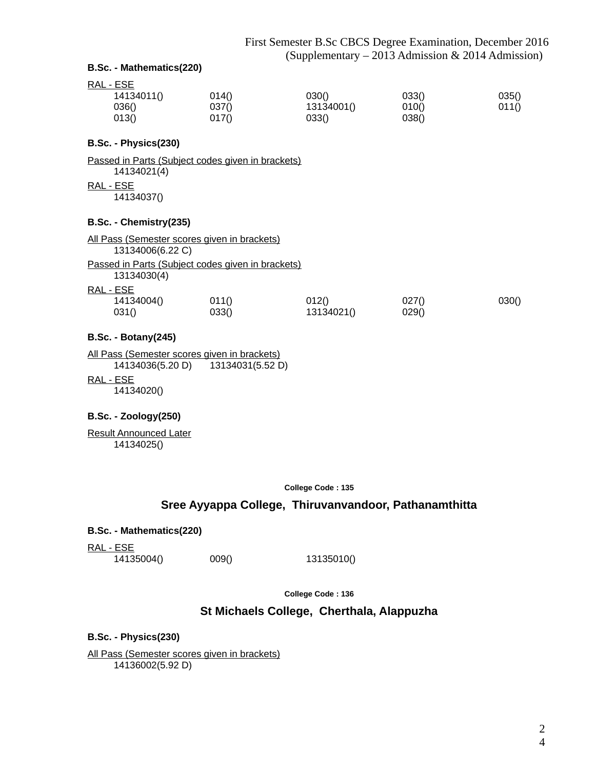#### **B.Sc. - Mathematics(220)**

| RAL - ESE  |       |            |       |       |
|------------|-------|------------|-------|-------|
| 14134011() | 014() | 030()      | 033() | 035() |
| 036()      | 037() | 13134001() | 010() | 011() |
| 013()      | 017() | 033()      | 038() |       |

#### **B.Sc. - Physics(230)**

Passed in Parts (Subject codes given in brackets) 14134021(4)

RAL - ESE

14134037()

#### **B.Sc. - Chemistry(235)**

All Pass (Semester scores given in brackets) 13134006(6.22 C) Passed in Parts (Subject codes given in brackets) 13134030(4) RAL - ESE 14134004() 011() 012() 027() 030() 031() 033() 13134021() 029()

#### **B.Sc. - Botany(245)**

All Pass (Semester scores given in brackets) 14134036(5.20 D) 13134031(5.52 D)

RAL - ESE

14134020()

#### **B.Sc. - Zoology(250)**

Result Announced Later 14134025()

**College Code : 135**

## **Sree Ayyappa College, Thiruvanvandoor, Pathanamthitta**

**B.Sc. - Mathematics(220)**

RAL - ESE

14135004() 009() 13135010()

**College Code : 136**

# **St Michaels College, Cherthala, Alappuzha**

**B.Sc. - Physics(230)**

All Pass (Semester scores given in brackets) 14136002(5.92 D)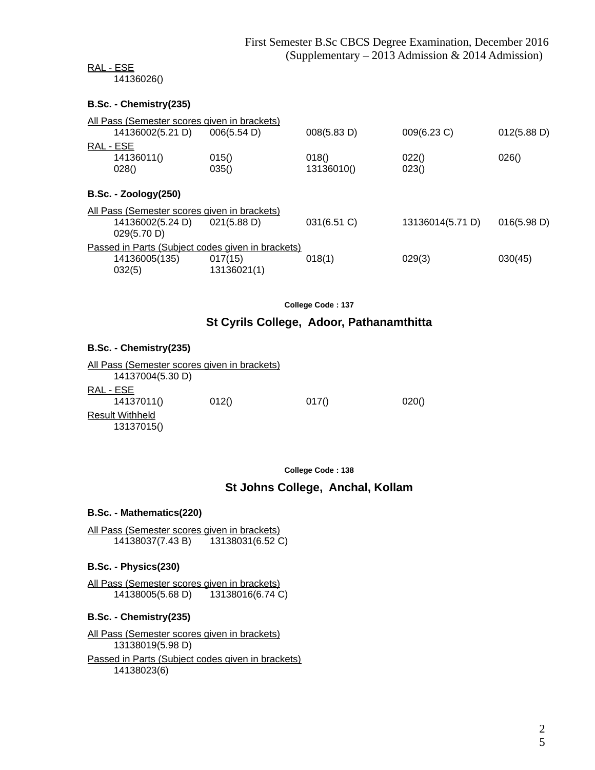#### RAL - ESE

14136026()

#### **B.Sc. - Chemistry(235)**

| <u>All Pass (Semester scores given in brackets)</u>                          |                        |                     |                  |             |  |
|------------------------------------------------------------------------------|------------------------|---------------------|------------------|-------------|--|
| 14136002(5.21 D)                                                             | 006(5.54 D)            | 008(5.83 D)         | 009(6.23 C)      | 012(5.88 D) |  |
| RAL - ESE<br>14136011()<br>028()                                             | 015()<br>035()         | 018()<br>13136010() | 022()<br>023()   | 026()       |  |
| <b>B.Sc. - Zoology(250)</b>                                                  |                        |                     |                  |             |  |
| <u>All Pass (Semester scores given in brackets)</u>                          |                        |                     |                  |             |  |
| 14136002(5.24 D)<br>029(5.70 D)                                              | 021(5.88 D)            | 031(6.51 C)         | 13136014(5.71 D) | 016(5.98 D) |  |
| Passed in Parts (Subject codes given in brackets)<br>14136005(135)<br>032(5) | 017(15)<br>13136021(1) | 018(1)              | 029(3)           | 030(45)     |  |
|                                                                              |                        |                     |                  |             |  |

**College Code : 137**

## **St Cyrils College, Adoor, Pathanamthitta**

#### **B.Sc. - Chemistry(235)**

| All Pass (Semester scores given in brackets) |       |       |       |
|----------------------------------------------|-------|-------|-------|
| 14137004(5.30 D)                             |       |       |       |
| RAL - ESE                                    |       |       |       |
| 14137011()                                   | 012() | 017() | 020() |
| <b>Result Withheld</b>                       |       |       |       |
| 13137015()                                   |       |       |       |
|                                              |       |       |       |

**College Code : 138**

# **St Johns College, Anchal, Kollam**

#### **B.Sc. - Mathematics(220)**

All Pass (Semester scores given in brackets) 14138037(7.43 B) 13138031(6.52 C)

#### **B.Sc. - Physics(230)**

All Pass (Semester scores given in brackets)<br>14138005(5.68 D) 13138016(6.74 C) 14138005(5.68 D)

#### **B.Sc. - Chemistry(235)**

All Pass (Semester scores given in brackets) 13138019(5.98 D)

Passed in Parts (Subject codes given in brackets) 14138023(6)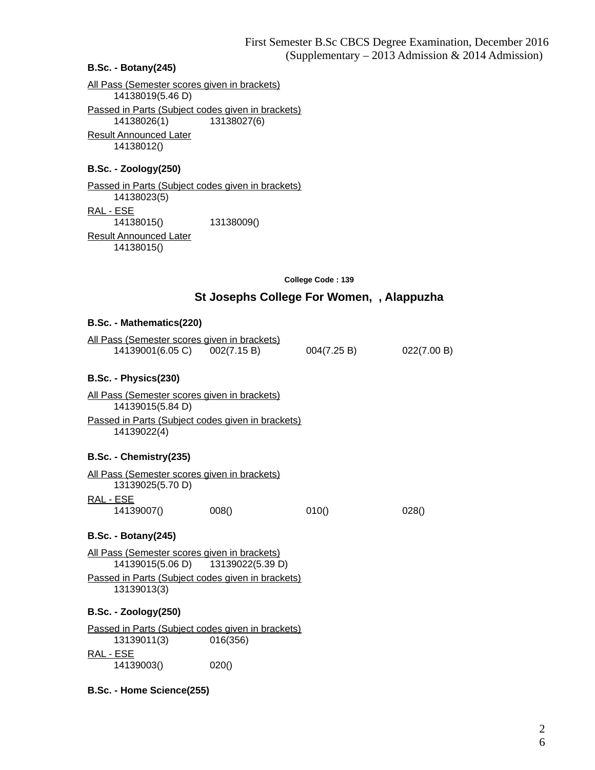#### **B.Sc. - Botany(245)**

All Pass (Semester scores given in brackets) 14138019(5.46 D) Passed in Parts (Subject codes given in brackets) 14138026(1) 13138027(6) Result Announced Later 14138012()

#### **B.Sc. - Zoology(250)**

Passed in Parts (Subject codes given in brackets) 14138023(5) RAL - ESE 14138015() 13138009() Result Announced Later 14138015()

**College Code : 139**

#### **St Josephs College For Women, , Alappuzha**

#### **B.Sc. - Mathematics(220)**

|                  | All Pass (Semester scores given in brackets) |             |             |
|------------------|----------------------------------------------|-------------|-------------|
| 14139001(6.05 C) | 002(7.15 B)                                  | 004(7.25 B) | 022(7.00 B) |

#### **B.Sc. - Physics(230)**

All Pass (Semester scores given in brackets) 14139015(5.84 D) Passed in Parts (Subject codes given in brackets) 14139022(4)

#### **B.Sc. - Chemistry(235)**

| All Pass (Semester scores given in brackets) |       |       |       |
|----------------------------------------------|-------|-------|-------|
| 13139025(5.70 D)                             |       |       |       |
| RAL - ESE                                    |       |       |       |
| 14139007()                                   | 008() | 010() | 028() |

#### **B.Sc. - Botany(245)**

All Pass (Semester scores given in brackets) 14139015(5.06 D) 13139022(5.39 D) Passed in Parts (Subject codes given in brackets) 13139013(3)

#### **B.Sc. - Zoology(250)**

Passed in Parts (Subject codes given in brackets) 13139011(3) 016(356) RAL - ESE 14139003() 020()

#### **B.Sc. - Home Science(255)**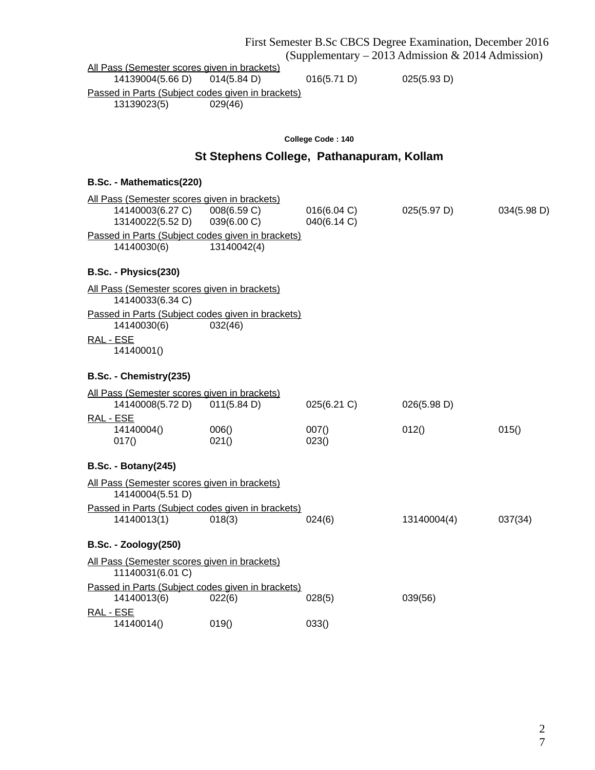|                                                                  |                                           |                            | First Semester B.Sc CBCS Degree Examination, December 2016 |             |
|------------------------------------------------------------------|-------------------------------------------|----------------------------|------------------------------------------------------------|-------------|
|                                                                  |                                           |                            | (Supplementary – 2013 Admission & 2014 Admission)          |             |
| All Pass (Semester scores given in brackets)<br>14139004(5.66 D) | 014(5.84 D)                               | 016(5.71 D)                | 025(5.93 D)                                                |             |
| Passed in Parts (Subject codes given in brackets)                |                                           |                            |                                                            |             |
| 13139023(5)                                                      | 029(46)                                   |                            |                                                            |             |
|                                                                  |                                           |                            |                                                            |             |
|                                                                  |                                           | College Code: 140          |                                                            |             |
|                                                                  | St Stephens College, Pathanapuram, Kollam |                            |                                                            |             |
| B.Sc. - Mathematics(220)                                         |                                           |                            |                                                            |             |
| All Pass (Semester scores given in brackets)                     |                                           |                            |                                                            |             |
| 14140003(6.27 C) 008(6.59 C)<br>13140022(5.52 D)                 | 039(6.00 C)                               | 016(6.04 C)<br>040(6.14 C) | 025(5.97 D)                                                | 034(5.98 D) |
| Passed in Parts (Subject codes given in brackets)                |                                           |                            |                                                            |             |
| 14140030(6)                                                      | 13140042(4)                               |                            |                                                            |             |
| B.Sc. - Physics(230)                                             |                                           |                            |                                                            |             |
| All Pass (Semester scores given in brackets)                     |                                           |                            |                                                            |             |
| 14140033(6.34 C)                                                 |                                           |                            |                                                            |             |
| Passed in Parts (Subject codes given in brackets)<br>14140030(6) | 032(46)                                   |                            |                                                            |             |
| RAL - ESE<br>14140001()                                          |                                           |                            |                                                            |             |
| B.Sc. - Chemistry(235)                                           |                                           |                            |                                                            |             |
|                                                                  |                                           |                            |                                                            |             |
| All Pass (Semester scores given in brackets)<br>14140008(5.72 D) | 011(5.84 D)                               | 025(6.21 C)                | 026(5.98 D)                                                |             |
| RAL - ESE                                                        |                                           |                            |                                                            |             |
| 14140004()                                                       | 006()                                     | 007()                      | 012()                                                      | 015()       |
| 017()                                                            | 021()                                     | 023()                      |                                                            |             |
| <b>B.Sc. - Botany(245)</b>                                       |                                           |                            |                                                            |             |
| All Pass (Semester scores given in brackets)<br>14140004(5.51 D) |                                           |                            |                                                            |             |
| Passed in Parts (Subject codes given in brackets)                |                                           |                            |                                                            |             |
| 14140013(1)                                                      | 018(3)                                    | 024(6)                     | 13140004(4)                                                | 037(34)     |
| <b>B.Sc. - Zoology(250)</b>                                      |                                           |                            |                                                            |             |
| All Pass (Semester scores given in brackets)<br>11140031(6.01 C) |                                           |                            |                                                            |             |
| Passed in Parts (Subject codes given in brackets)                |                                           |                            |                                                            |             |
| 14140013(6)                                                      | 022(6)                                    | 028(5)                     | 039(56)                                                    |             |
| RAL - ESE<br>14140014()                                          | 019()                                     | 033()                      |                                                            |             |

2 7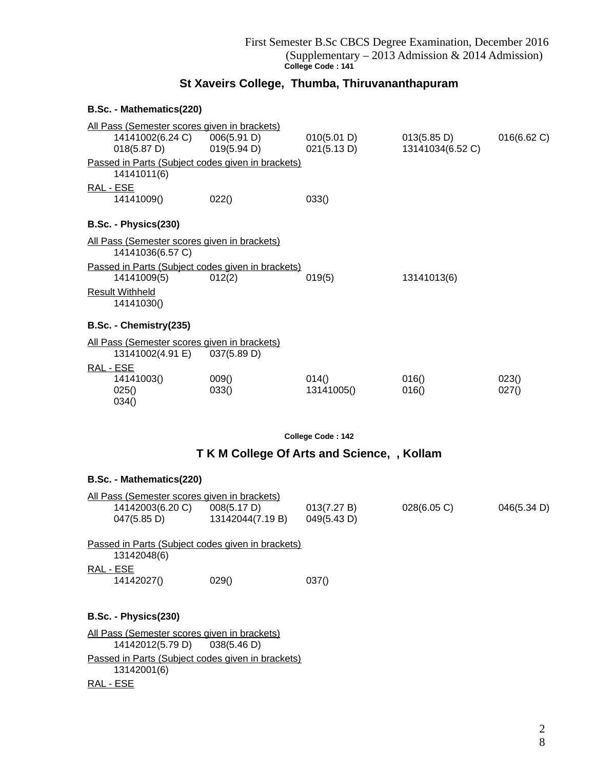# **St Xaveirs College, Thumba, Thiruvananthapuram**

#### **B.Sc. - Mathematics(220)**

|           | All Pass (Semester scores given in brackets) |                                                   |             |                  |             |  |
|-----------|----------------------------------------------|---------------------------------------------------|-------------|------------------|-------------|--|
|           | 14141002(6.24 C) 006(5.91 D)                 |                                                   | 010(5.01 D) | 013(5.85 D)      | 016(6.62 C) |  |
|           | $018(5.87)$ D)                               | 019(5.94 D)                                       | 021(5.13 D) | 13141034(6.52 C) |             |  |
|           |                                              | Passed in Parts (Subject codes given in brackets) |             |                  |             |  |
|           | 14141011(6)                                  |                                                   |             |                  |             |  |
| RAL - ESE |                                              |                                                   |             |                  |             |  |
|           | 14141009()                                   | 022()                                             | 033()       |                  |             |  |
|           | B.Sc. - Physics(230)                         |                                                   |             |                  |             |  |
|           | All Pass (Semester scores given in brackets) |                                                   |             |                  |             |  |
|           | 14141036(6.57 C)                             |                                                   |             |                  |             |  |
|           |                                              | Passed in Parts (Subject codes given in brackets) |             |                  |             |  |
|           | 14141009(5)                                  | 012(2)                                            | 019(5)      | 13141013(6)      |             |  |
|           | <b>Result Withheld</b>                       |                                                   |             |                  |             |  |
|           | 14141030()                                   |                                                   |             |                  |             |  |
|           | B.Sc. - Chemistry(235)                       |                                                   |             |                  |             |  |
|           | All Pass (Semester scores given in brackets) |                                                   |             |                  |             |  |
|           | 13141002(4.91 E) 037(5.89 D)                 |                                                   |             |                  |             |  |
| RAL - ESE |                                              |                                                   |             |                  |             |  |
|           | 14141003()                                   | 009()                                             | 014()       | 016()            | 023()       |  |
|           | 025()                                        | 033()                                             | 13141005()  | 016()            | 027()       |  |
|           | 034()                                        |                                                   |             |                  |             |  |

**College Code : 142**

# **T K M College Of Arts and Science, , Kollam**

| B.Sc. - Mathematics(220)                                                               |                                             |             |             |             |
|----------------------------------------------------------------------------------------|---------------------------------------------|-------------|-------------|-------------|
| <u>All Pass (Semester scores given in brackets)</u><br>14142003(6.20 C)<br>047(5.85 D) | 008(5.17 D)<br>13142044(7.19 B) 049(5.43 D) | 013(7.27 B) | 028(6.05 C) | 046(5.34 D) |
| Passed in Parts (Subject codes given in brackets)<br>13142048(6)                       |                                             |             |             |             |
| RAL - ESE<br>14142027()                                                                | 029()                                       | 037()       |             |             |
| B.Sc. - Physics(230)                                                                   |                                             |             |             |             |
| All Pass (Semester scores given in brackets)<br>14142012(5.79 D) 038(5.46 D)           |                                             |             |             |             |
| Passed in Parts (Subject codes given in brackets)<br>13142001(6)                       |                                             |             |             |             |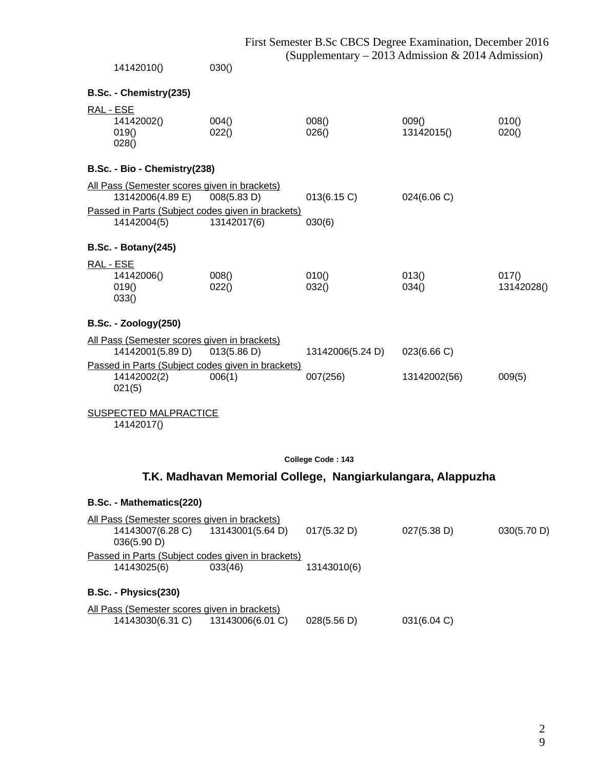|           | 14142010()                                                       | 030()                                                            | $\left($ 3uppiemental $y - 2013$ Admission $\alpha$ 2014 Admission) |                     |                     |  |
|-----------|------------------------------------------------------------------|------------------------------------------------------------------|---------------------------------------------------------------------|---------------------|---------------------|--|
|           | B.Sc. - Chemistry(235)                                           |                                                                  |                                                                     |                     |                     |  |
| RAL - ESE | 14142002()<br>019()<br>028()                                     | 004()<br>022()                                                   | 008()<br>026()                                                      | 009()<br>13142015() | 010()<br>020()      |  |
|           | B.Sc. - Bio - Chemistry(238)                                     |                                                                  |                                                                     |                     |                     |  |
|           | All Pass (Semester scores given in brackets)<br>13142006(4.89 E) | 008(5.83 D)                                                      | 013(6.15 C)                                                         | 024(6.06 C)         |                     |  |
|           | 14142004(5)                                                      | Passed in Parts (Subject codes given in brackets)<br>13142017(6) | 030(6)                                                              |                     |                     |  |
|           | <b>B.Sc. - Botany(245)</b>                                       |                                                                  |                                                                     |                     |                     |  |
| RAL - ESE | 14142006()<br>019()<br>033()                                     | 008()<br>022()                                                   | 010()<br>032()                                                      | 013()<br>034()      | 017()<br>13142028() |  |
|           | <b>B.Sc. - Zoology(250)</b>                                      |                                                                  |                                                                     |                     |                     |  |
|           | All Pass (Semester scores given in brackets)<br>14142001(5.89 D) | 013(5.86 D)                                                      | 13142006(5.24 D)                                                    | 023(6.66 C)         |                     |  |
|           | 14142002(2)<br>021(5)                                            | Passed in Parts (Subject codes given in brackets)<br>006(1)      | 007(256)                                                            | 13142002(56)        | 009(5)              |  |
|           | <b>SUSPECTED MALPRACTICE</b>                                     |                                                                  |                                                                     |                     |                     |  |

14142017()

#### **College Code : 143**

# **T.K. Madhavan Memorial College, Nangiarkulangara, Alappuzha**

# **B.Sc. - Mathematics(220)**

| All Pass (Semester scores given in brackets)                     |                  |             |             |             |  |
|------------------------------------------------------------------|------------------|-------------|-------------|-------------|--|
| 14143007(6.28 C)<br>036(5.90 D)                                  | 13143001(5.64 D) | 017(5.32 D) | 027(5.38 D) | 030(5.70 D) |  |
| Passed in Parts (Subject codes given in brackets)                |                  |             |             |             |  |
| 14143025(6)                                                      | 033(46)          | 13143010(6) |             |             |  |
| B.Sc. - Physics(230)                                             |                  |             |             |             |  |
| All Pass (Semester scores given in brackets)<br>14143030(6.31 C) | 13143006(6.01 C) | 028(5.56 D) | 031(6.04 C) |             |  |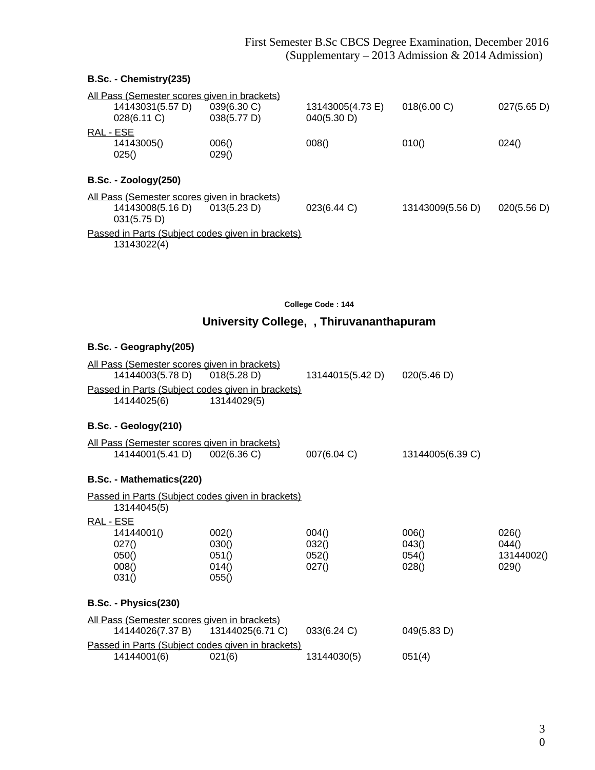# **B.Sc. - Chemistry(235)**

| 039(6.30 C)<br>038(5.77 D)                                                                                                | 13143005(4.73 E)<br>040(5.30 D)                                                                                                                          | 018(6.00 C)      | 027(5.65 D) |
|---------------------------------------------------------------------------------------------------------------------------|----------------------------------------------------------------------------------------------------------------------------------------------------------|------------------|-------------|
|                                                                                                                           |                                                                                                                                                          |                  |             |
| 006()<br>029()                                                                                                            | 008()                                                                                                                                                    | 010()            | 024()       |
|                                                                                                                           |                                                                                                                                                          |                  |             |
|                                                                                                                           |                                                                                                                                                          |                  |             |
| 013(5.23 D)                                                                                                               | 023(6.44 C)                                                                                                                                              | 13143009(5.56 D) | 020(5.56 D) |
|                                                                                                                           |                                                                                                                                                          |                  |             |
|                                                                                                                           |                                                                                                                                                          |                  |             |
| 14143031(5.57 D)<br>028(6.11 C)<br>14143005()<br>$B.Sc. - Zoology(250)$<br>14143008(5.16 D)<br>031(5.75 D)<br>13143022(4) | All Pass (Semester scores given in brackets)<br><u>All Pass (Semester scores given in brackets)</u><br>Passed in Parts (Subject codes given in brackets) |                  |             |

**College Code : 144**

# **University College, , Thiruvananthapuram**

# **B.Sc. - Geography(205)**

| <u>All Pass (Semester scores given in brackets)</u>                          |                                           |                                  |                                  |                                       |
|------------------------------------------------------------------------------|-------------------------------------------|----------------------------------|----------------------------------|---------------------------------------|
| 14144003(5.78 D) 018(5.28 D)                                                 |                                           | 13144015(5.42 D) 020(5.46 D)     |                                  |                                       |
| Passed in Parts (Subject codes given in brackets)<br>14144025(6)             | 13144029(5)                               |                                  |                                  |                                       |
| B.Sc. - Geology(210)                                                         |                                           |                                  |                                  |                                       |
| All Pass (Semester scores given in brackets)<br>14144001(5.41 D) 002(6.36 C) |                                           | 007(6.04 C)                      | 13144005(6.39 C)                 |                                       |
| B.Sc. - Mathematics(220)                                                     |                                           |                                  |                                  |                                       |
| Passed in Parts (Subject codes given in brackets)<br>13144045(5)             |                                           |                                  |                                  |                                       |
| RAL - ESE<br>14144001()<br>027()<br>050()<br>008()<br>031()                  | 002()<br>030()<br>051()<br>014()<br>055() | 004()<br>032()<br>052()<br>027() | 006()<br>043()<br>054()<br>028() | 026()<br>044()<br>13144002()<br>029() |
| B.Sc. - Physics(230)                                                         |                                           |                                  |                                  |                                       |
| All Pass (Semester scores given in brackets)<br>14144026(7.37 B)             | 13144025(6.71 C)                          | 033(6.24 C)                      | 049(5.83 D)                      |                                       |
| Passed in Parts (Subject codes given in brackets)<br>14144001(6)             | 021(6)                                    | 13144030(5)                      | 051(4)                           |                                       |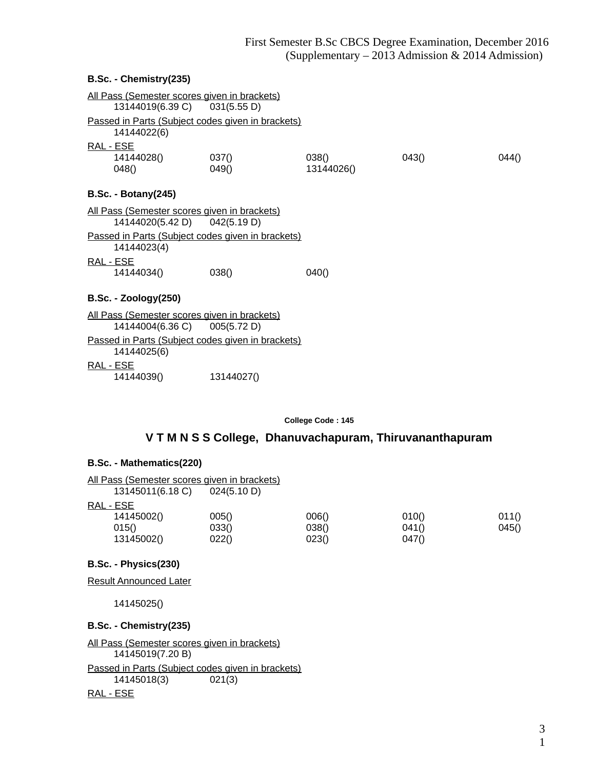#### **B.Sc. - Chemistry(235)**

|           | All Pass (Semester scores given in brackets) |                                                   |            |      |       |
|-----------|----------------------------------------------|---------------------------------------------------|------------|------|-------|
|           | 13144019(6.39 C) 031(5.55 D)                 |                                                   |            |      |       |
|           |                                              | Passed in Parts (Subject codes given in brackets) |            |      |       |
|           | 14144022(6)                                  |                                                   |            |      |       |
| RAL - ESE |                                              |                                                   |            |      |       |
|           | 14144028()                                   | 037()                                             | 038()      | 0430 | 044() |
|           | 048()                                        | 049()                                             | 13144026() |      |       |
|           | <b>B.Sc. - Botany(245)</b>                   |                                                   |            |      |       |
|           | All Pass (Semester scores given in brackets) |                                                   |            |      |       |
|           | 14144020(5.42 D) 042(5.19 D)                 |                                                   |            |      |       |
|           |                                              | Passed in Parts (Subject codes given in brackets) |            |      |       |
|           | 14144023(4)                                  |                                                   |            |      |       |
| RAL - ESE |                                              |                                                   |            |      |       |
|           | 14144034()                                   | 038()                                             | 040()      |      |       |
|           | <b>B.Sc. - Zoology(250)</b>                  |                                                   |            |      |       |
|           | All Pass (Semester scores given in brackets) |                                                   |            |      |       |
|           | 14144004(6.36 C) 005(5.72 D)                 |                                                   |            |      |       |
|           |                                              | Passed in Parts (Subject codes given in brackets) |            |      |       |
|           | 14144025(6)                                  |                                                   |            |      |       |
| RAL - ESE |                                              |                                                   |            |      |       |
|           | 14144039()                                   | 13144027()                                        |            |      |       |
|           |                                              |                                                   |            |      |       |

**College Code : 145**

# **V T M N S S College, Dhanuvachapuram, Thiruvananthapuram**

#### **B.Sc. - Mathematics(220)**

| All Pass (Semester scores given in brackets) |             |       |       |       |
|----------------------------------------------|-------------|-------|-------|-------|
| 13145011(6.18 C)                             | 024(5.10 D) |       |       |       |
| RAL - ESE                                    |             |       |       |       |
| 14145002()                                   | 005()       | 006() | 010() | 011() |
| 015()                                        | 033()       | 038() | 041() | 045() |
| 13145002()                                   | 022()       | 023() | 047() |       |

### **B.Sc. - Physics(230)**

Result Announced Later

14145025()

### **B.Sc. - Chemistry(235)**

All Pass (Semester scores given in brackets) 14145019(7.20 B) Passed in Parts (Subject codes given in brackets)<br>14145018(3) 021(3)  $14145018(3)$ 

#### RAL - ESE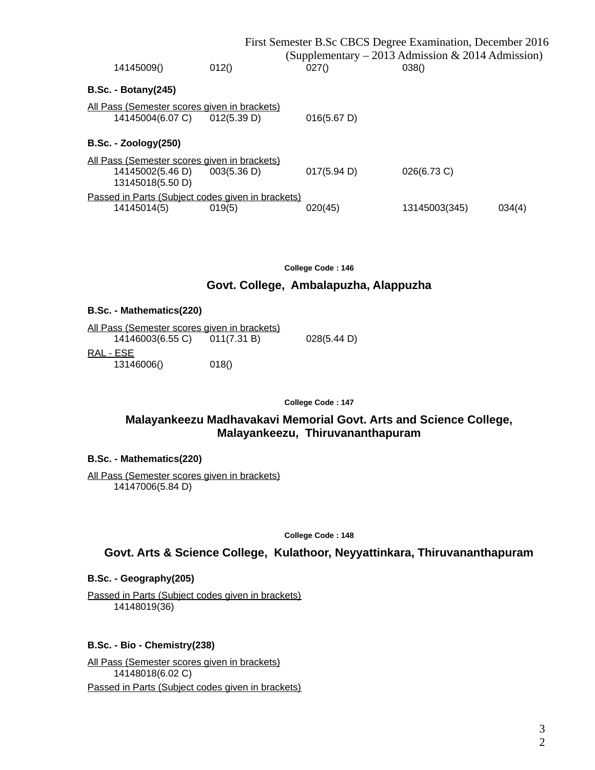|                                                                                      |             |             | First Semester B.Sc CBCS Degree Examination, December 2016<br>(Supplementary – 2013 Admission & 2014 Admission) |        |
|--------------------------------------------------------------------------------------|-------------|-------------|-----------------------------------------------------------------------------------------------------------------|--------|
| 14145009()                                                                           | 012()       | 027()       | 038()                                                                                                           |        |
| $B.Sc. - Botany(245)$                                                                |             |             |                                                                                                                 |        |
| All Pass (Semester scores given in brackets)<br>14145004(6.07 C)                     | 012(5.39 D) | 016(5.67 D) |                                                                                                                 |        |
| $B.Sc. - Zoology(250)$                                                               |             |             |                                                                                                                 |        |
| All Pass (Semester scores given in brackets)<br>14145002(5.46 D)<br>13145018(5.50 D) | 003(5.36 D) | 017(5.94 D) | 026(6.73 C)                                                                                                     |        |
| Passed in Parts (Subject codes given in brackets)<br>14145014(5)                     | 019(5)      | 020(45)     | 13145003(345)                                                                                                   | 034(4) |

## **Govt. College, Ambalapuzha, Alappuzha**

#### **B.Sc. - Mathematics(220)**

| All Pass (Semester scores given in brackets) |             |             |
|----------------------------------------------|-------------|-------------|
| 14146003(6.55 C)                             | 011(7.31 B) | 028(5.44 D) |
| RAL - ESE                                    |             |             |
| 13146006()                                   | 018()       |             |

**College Code : 147**

# **Malayankeezu Madhavakavi Memorial Govt. Arts and Science College, Malayankeezu, Thiruvananthapuram**

#### **B.Sc. - Mathematics(220)**

All Pass (Semester scores given in brackets) 14147006(5.84 D)

**College Code : 148**

**Govt. Arts & Science College, Kulathoor, Neyyattinkara, Thiruvananthapuram**

#### **B.Sc. - Geography(205)**

Passed in Parts (Subject codes given in brackets) 14148019(36)

#### **B.Sc. - Bio - Chemistry(238)**

All Pass (Semester scores given in brackets) 14148018(6.02 C) Passed in Parts (Subject codes given in brackets)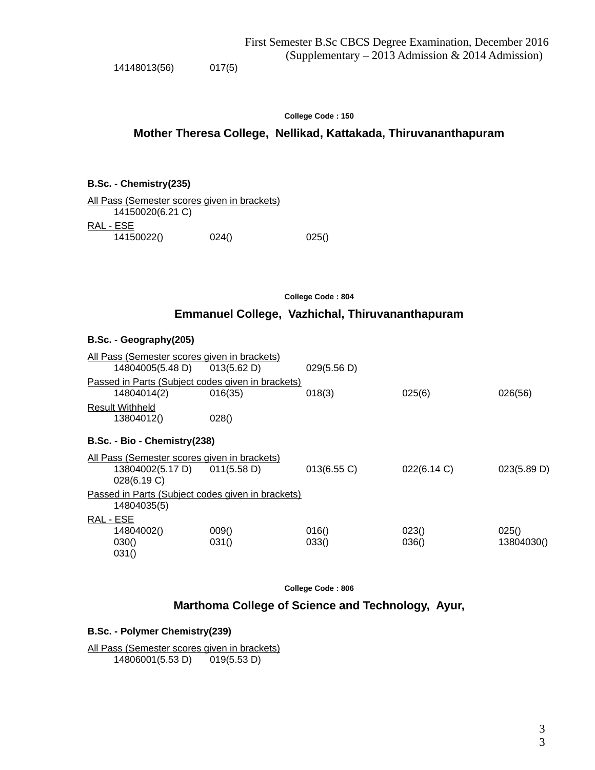14148013(56) 017(5)

#### **College Code : 150**

# **Mother Theresa College, Nellikad, Kattakada, Thiruvananthapuram**

#### **B.Sc. - Chemistry(235)**

| <u>All Pass (Semester scores given in brackets)</u> |       |       |
|-----------------------------------------------------|-------|-------|
| 14150020(6.21 C)                                    |       |       |
| RAL - ESE                                           |       |       |
| 14150022()                                          | 024() | 025() |

**College Code : 804**

# **Emmanuel College, Vazhichal, Thiruvananthapuram**

#### **B.Sc. - Geography(205)**

|                                                                  | All Pass (Semester scores given in brackets)                                    |                                                              |                |                |                     |  |
|------------------------------------------------------------------|---------------------------------------------------------------------------------|--------------------------------------------------------------|----------------|----------------|---------------------|--|
|                                                                  | 14804005(5.48 D)                                                                | 013(5.62 D)                                                  | 029(5.56 D)    |                |                     |  |
|                                                                  | 14804014(2)                                                                     | Passed in Parts (Subject codes given in brackets)<br>016(35) | 018(3)         | 025(6)         | 026(56)             |  |
|                                                                  | <b>Result Withheld</b><br>13804012()                                            | 028()                                                        |                |                |                     |  |
|                                                                  | B.Sc. - Bio - Chemistry (238)                                                   |                                                              |                |                |                     |  |
|                                                                  | All Pass (Semester scores given in brackets)<br>13804002(5.17 D)<br>028(6.19 C) | 011(5.58 D)                                                  | 013(6.55 C)    | 022(6.14 C)    | 023(5.89 D)         |  |
| Passed in Parts (Subject codes given in brackets)<br>14804035(5) |                                                                                 |                                                              |                |                |                     |  |
| RAL - ESE                                                        | 14804002()<br>030()<br>031()                                                    | 009()<br>031()                                               | 016()<br>033() | 023()<br>036() | 025()<br>13804030() |  |

**College Code : 806**

**Marthoma College of Science and Technology, Ayur,**

#### **B.Sc. - Polymer Chemistry(239)**

All Pass (Semester scores given in brackets) 14806001(5.53 D) 019(5.53 D)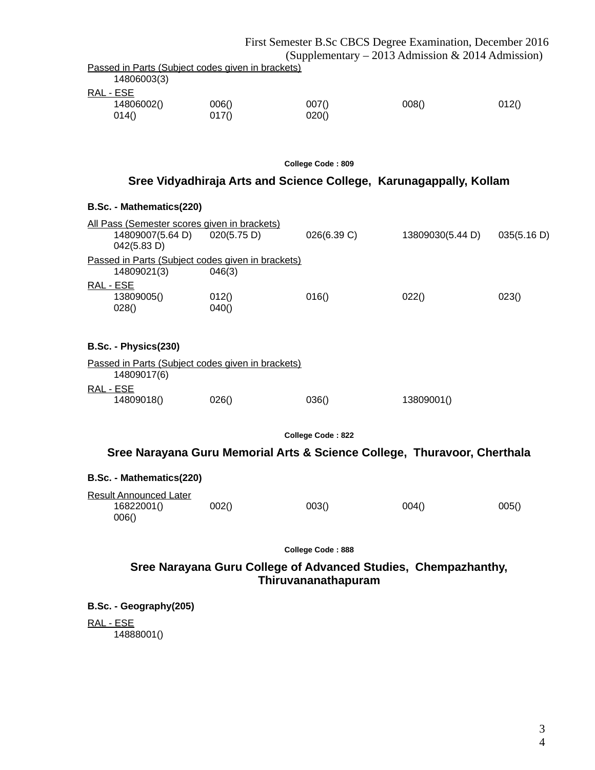|                                                                  |                | First Semester B.Sc CBCS Degree Examination, December 2016 |                                                   |       |  |
|------------------------------------------------------------------|----------------|------------------------------------------------------------|---------------------------------------------------|-------|--|
|                                                                  |                |                                                            | (Supplementary – 2013 Admission & 2014 Admission) |       |  |
| Passed in Parts (Subject codes given in brackets)<br>14806003(3) |                |                                                            |                                                   |       |  |
| RAL - ESE<br>14806002()<br>014()                                 | 006()<br>017() | 007()<br>020()                                             | 008()                                             | 012() |  |
| College Code: 809                                                |                |                                                            |                                                   |       |  |

## **Sree Vidyadhiraja Arts and Science College, Karunagappally, Kollam**

|           | B.Sc. - Mathematics(220)                                                               |                                                             |             |                  |             |
|-----------|----------------------------------------------------------------------------------------|-------------------------------------------------------------|-------------|------------------|-------------|
|           | <u>All Pass (Semester scores given in brackets)</u><br>14809007(5.64 D)<br>042(5.83 D) | 020(5.75 D)                                                 | 026(6.39 C) | 13809030(5.44 D) | 035(5.16 D) |
|           | 14809021(3)                                                                            | Passed in Parts (Subject codes given in brackets)<br>046(3) |             |                  |             |
| RAL - ESE | 13809005()<br>028()                                                                    | 012()<br>040()                                              | 016()       | 022()            | 023()       |
|           | B.Sc. - Physics(230)                                                                   |                                                             |             |                  |             |
|           | 14809017(6)                                                                            | Passed in Parts (Subject codes given in brackets)           |             |                  |             |
| RAL - ESE | 14809018()                                                                             | 026()                                                       | 036()       | 13809001()       |             |

**College Code : 822**

# **Sree Narayana Guru Memorial Arts & Science College, Thuravoor, Cherthala**

| <b>B.Sc. - Mathematics(220)</b>                      |       |       |       |       |
|------------------------------------------------------|-------|-------|-------|-------|
| <b>Result Announced Later</b><br>16822001()<br>006() | 002() | 003() | 004() | 005() |

**College Code : 888**

# **Sree Narayana Guru College of Advanced Studies, Chempazhanthy, Thiruvananathapuram**

**B.Sc. - Geography(205)**

RAL - ESE

14888001()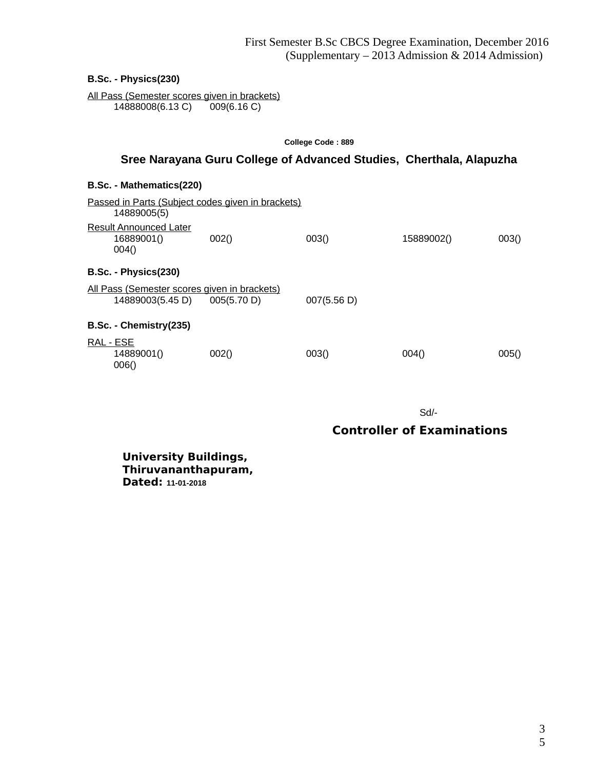**B.Sc. - Physics(230)**

All Pass (Semester scores given in brackets)<br>14888008(6.13 C) 009(6.16 C) 14888008(6.13 C)

# **College Code : 889 Sree Narayana Guru College of Advanced Studies, Cherthala, Alapuzha**

#### **B.Sc. - Mathematics(220)**

| Passed in Parts (Subject codes given in brackets)<br>14889005(5) |             |             |            |       |
|------------------------------------------------------------------|-------------|-------------|------------|-------|
| Result Announced Later<br>16889001()<br>004()                    | 002()       | 003()       | 15889002() | 003() |
| B.Sc. - Physics(230)                                             |             |             |            |       |
| All Pass (Semester scores given in brackets)<br>14889003(5.45 D) | 005(5.70 D) | 007(5.56 D) |            |       |
| B.Sc. - Chemistry(235)                                           |             |             |            |       |
| <u>RAL - ESE</u><br>14889001()<br>006()                          | 002()       | 003()       | 004()      | 005() |

Sd/-

# **Controller of Examinations**

**University Buildings, Thiruvananthapuram, Dated: 11-01-2018**